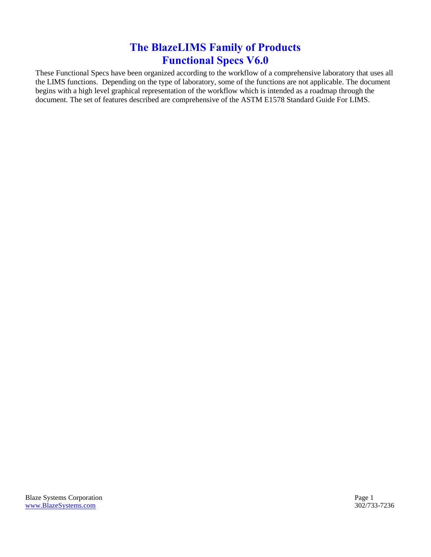## **The BlazeLIMS Family of Products Functional Specs V6.0**

<span id="page-0-1"></span><span id="page-0-0"></span>These Functional Specs have been organized according to the workflow of a comprehensive laboratory that uses all the LIMS functions. Depending on the type of laboratory, some of the functions are not applicable. The document begins with a high level graphical representation of the workflow which is intended as a roadmap through the document. The set of features described are comprehensive of the ASTM E1578 Standard Guide For LIMS.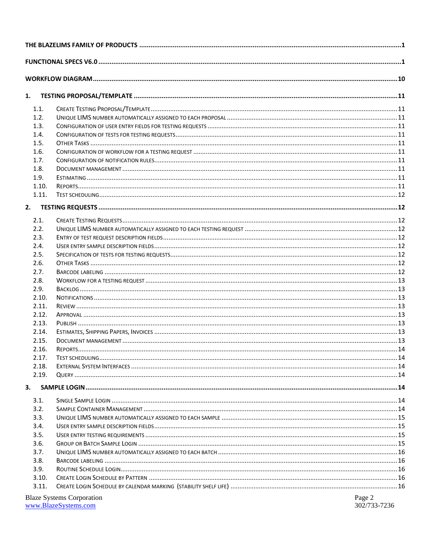| 1.    |                                  |        |  |
|-------|----------------------------------|--------|--|
| 1.1.  |                                  |        |  |
| 1.2.  |                                  |        |  |
| 1.3.  |                                  |        |  |
| 1.4.  |                                  |        |  |
| 1.5.  |                                  |        |  |
| 1.6.  |                                  |        |  |
| 1.7.  |                                  |        |  |
| 1.8.  |                                  |        |  |
| 1.9.  |                                  |        |  |
| 1.10. |                                  |        |  |
| 1.11. |                                  |        |  |
| 2.    |                                  |        |  |
| 2.1.  |                                  |        |  |
| 2.2.  |                                  |        |  |
| 2.3.  |                                  |        |  |
| 2.4.  |                                  |        |  |
| 2.5.  |                                  |        |  |
| 2.6.  |                                  |        |  |
| 2.7.  |                                  |        |  |
| 2.8.  |                                  |        |  |
| 2.9.  |                                  |        |  |
| 2.10. |                                  |        |  |
| 2.11. |                                  |        |  |
| 2.12. |                                  |        |  |
| 2.13. |                                  |        |  |
| 2.14. |                                  |        |  |
| 2.15. |                                  |        |  |
| 2.16. |                                  |        |  |
| 2.17. |                                  |        |  |
| 2.18. |                                  |        |  |
| 2.19. |                                  |        |  |
| 3.    |                                  |        |  |
| 3.1.  |                                  |        |  |
| 3.2.  |                                  |        |  |
| 3.3.  |                                  |        |  |
| 3.4.  |                                  |        |  |
| 3.5.  |                                  |        |  |
| 3.6.  |                                  |        |  |
| 3.7.  |                                  |        |  |
| 3.8.  |                                  |        |  |
| 3.9.  |                                  |        |  |
| 3.10. |                                  |        |  |
| 3.11. |                                  |        |  |
|       | <b>Blaze Systems Corporation</b> | Page 2 |  |

**Diaze Systems Corporate**<br>www.BlazeSystems.com

302/733-7236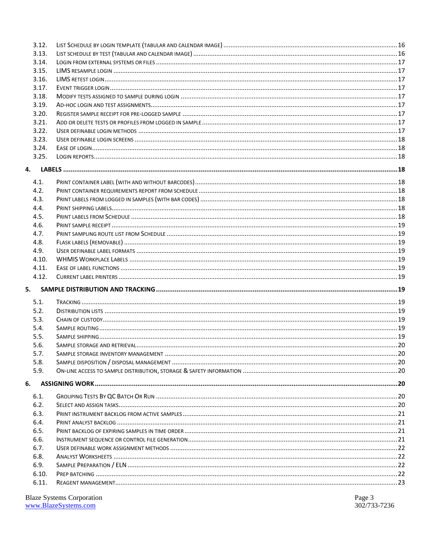| 3.12.        |  |  |  |  |
|--------------|--|--|--|--|
| 3.13.        |  |  |  |  |
| 3.14.        |  |  |  |  |
| 3.15.        |  |  |  |  |
| 3.16.        |  |  |  |  |
| 3.17.        |  |  |  |  |
| 3.18.        |  |  |  |  |
| 3.19.        |  |  |  |  |
| 3.20.        |  |  |  |  |
| 3.21.        |  |  |  |  |
| 3.22.        |  |  |  |  |
| 3.23.        |  |  |  |  |
| 3.24.        |  |  |  |  |
| 3.25.        |  |  |  |  |
| 4.           |  |  |  |  |
|              |  |  |  |  |
| 4.1.         |  |  |  |  |
| 4.2.         |  |  |  |  |
| 4.3.         |  |  |  |  |
| 4.4.         |  |  |  |  |
| 4.5.         |  |  |  |  |
| 4.6.         |  |  |  |  |
| 4.7.         |  |  |  |  |
| 4.8.         |  |  |  |  |
| 4.9.         |  |  |  |  |
| 4.10.        |  |  |  |  |
| 4.11.        |  |  |  |  |
| 4.12.        |  |  |  |  |
| 5.           |  |  |  |  |
| 5.1.         |  |  |  |  |
| 5.2.         |  |  |  |  |
| 5.3.         |  |  |  |  |
| 5.4.         |  |  |  |  |
| 5.5.         |  |  |  |  |
| 5.6.         |  |  |  |  |
|              |  |  |  |  |
| 5.7.<br>5.8. |  |  |  |  |
| 5.9.         |  |  |  |  |
|              |  |  |  |  |
| 6.           |  |  |  |  |
| 6.1.         |  |  |  |  |
| 6.2.         |  |  |  |  |
| 6.3.         |  |  |  |  |
| 6.4.         |  |  |  |  |
| 6.5.         |  |  |  |  |
| 6.6.         |  |  |  |  |
| 6.7.         |  |  |  |  |
| 6.8.         |  |  |  |  |
| 6.9.         |  |  |  |  |
| 6.10.        |  |  |  |  |
| 6.11.        |  |  |  |  |
|              |  |  |  |  |

Blaze Systems Corporation<br>www.BlazeSystems.com

Page 3<br>302/733-7236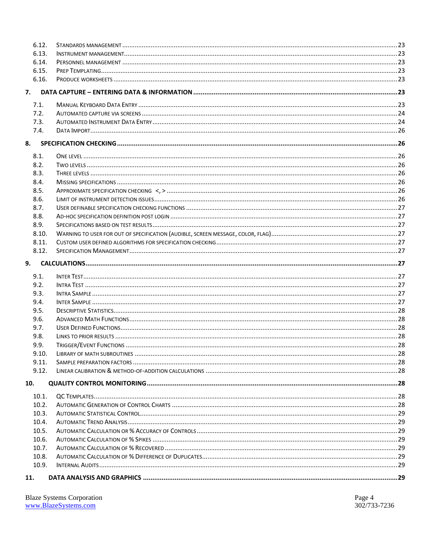| 6.12. |  |  |
|-------|--|--|
| 6.13. |  |  |
| 6.14. |  |  |
| 6.15. |  |  |
| 6.16. |  |  |
| 7.    |  |  |
| 7.1.  |  |  |
| 7.2.  |  |  |
| 7.3.  |  |  |
| 7.4.  |  |  |
| 8.    |  |  |
| 8.1.  |  |  |
| 8.2.  |  |  |
| 8.3.  |  |  |
| 8.4.  |  |  |
| 8.5.  |  |  |
| 8.6.  |  |  |
| 8.7.  |  |  |
| 8.8.  |  |  |
| 8.9.  |  |  |
| 8.10. |  |  |
| 8.11. |  |  |
| 8.12. |  |  |
| 9.    |  |  |
| 9.1.  |  |  |
| 9.2.  |  |  |
| 9.3.  |  |  |
| 9.4.  |  |  |
| 9.5.  |  |  |
| 9.6.  |  |  |
| 9.7.  |  |  |
| 9.8.  |  |  |
| 9.9.  |  |  |
| 9.10. |  |  |
| 9.11. |  |  |
| 9.12. |  |  |
| 10.   |  |  |
| 10.1. |  |  |
| 10.2. |  |  |
| 10.3. |  |  |
| 10.4. |  |  |
| 10.5. |  |  |
| 10.6. |  |  |
| 10.7. |  |  |
| 10.8. |  |  |
| 10.9. |  |  |
| 11.   |  |  |

| <b>Blaze Systems Corporation</b> |
|----------------------------------|
| www.BlazeSystems.com             |
|                                  |

Page 4<br>302/733-7236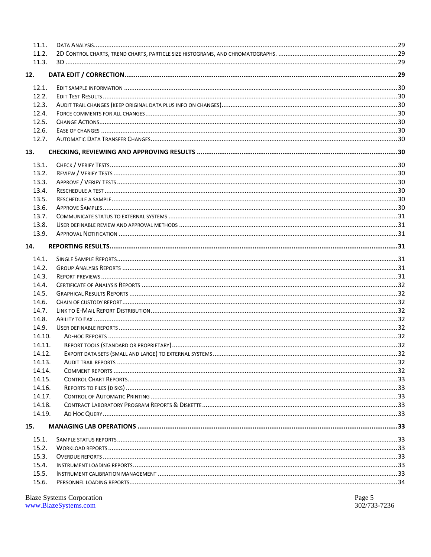| 11.1.  |  |
|--------|--|
| 11.2.  |  |
| 11.3.  |  |
| 12.    |  |
|        |  |
| 12.1.  |  |
| 12.2.  |  |
| 12.3.  |  |
| 12.4.  |  |
| 12.5.  |  |
| 12.6.  |  |
| 12.7.  |  |
| 13.    |  |
| 13.1.  |  |
| 13.2.  |  |
| 13.3.  |  |
| 13.4.  |  |
| 13.5.  |  |
| 13.6.  |  |
| 13.7.  |  |
| 13.8.  |  |
| 13.9.  |  |
| 14.    |  |
|        |  |
| 14.1.  |  |
| 14.2.  |  |
| 14.3.  |  |
| 14.4.  |  |
| 14.5.  |  |
| 14.6.  |  |
| 14.7.  |  |
| 14.8.  |  |
| 14.9.  |  |
| 14.10. |  |
| 14.11. |  |
| 14.12. |  |
| 14.13. |  |
| 14.14. |  |
| 14.15. |  |
| 14.16. |  |
| 14.17. |  |
| 14.18. |  |
| 14.19. |  |
| 15.    |  |
| 15.1.  |  |
| 15.2.  |  |
| 15.3.  |  |
| 15.4.  |  |
| 15.5.  |  |
| 15.6.  |  |
|        |  |

Blaze Systems Corporation<br>www.BlazeSystems.com

Page 5<br>302/733-7236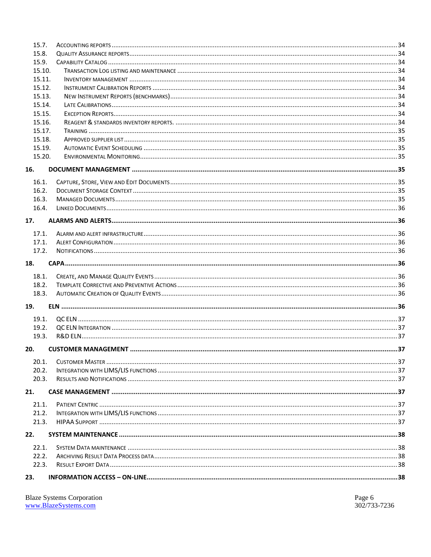| 15.7.  |  |
|--------|--|
| 15.8.  |  |
| 15.9.  |  |
| 15.10. |  |
| 15.11. |  |
| 15.12. |  |
| 15.13. |  |
| 15.14. |  |
| 15.15. |  |
| 15.16. |  |
| 15.17. |  |
| 15.18. |  |
| 15.19. |  |
| 15.20. |  |
| 16.    |  |
| 16.1.  |  |
| 16.2.  |  |
| 16.3.  |  |
| 16.4.  |  |
|        |  |
| 17.    |  |
| 17.1.  |  |
| 17.1.  |  |
| 17.2.  |  |
| 18.    |  |
|        |  |
|        |  |
| 18.1.  |  |
| 18.2.  |  |
| 18.3.  |  |
| 19.    |  |
| 19.1.  |  |
| 19.2.  |  |
| 19.3.  |  |
|        |  |
| 20.    |  |
| 20.1.  |  |
| 20.2.  |  |
| 20.3.  |  |
| 21.    |  |
| 21.1.  |  |
| 21.2.  |  |
| 21.3.  |  |
| 22.    |  |
|        |  |
| 22.1.  |  |
| 22.2.  |  |
| 22.3.  |  |

| <b>Blaze Systems Corporation</b> |
|----------------------------------|
| www.BlazeSystems.com             |

Page 6<br>302/733-7236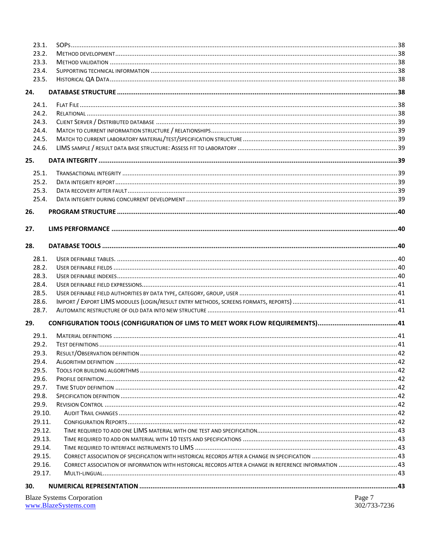| 23.1.  |                                                                                                        |              |
|--------|--------------------------------------------------------------------------------------------------------|--------------|
| 23.2.  |                                                                                                        |              |
| 23.3.  |                                                                                                        |              |
| 23.4.  |                                                                                                        |              |
| 23.5.  |                                                                                                        |              |
| 24.    |                                                                                                        |              |
| 24.1.  |                                                                                                        |              |
| 24.2.  |                                                                                                        |              |
| 24.3.  |                                                                                                        |              |
| 24.4.  |                                                                                                        |              |
| 24.5.  |                                                                                                        |              |
| 24.6.  |                                                                                                        |              |
| 25.    |                                                                                                        |              |
| 25.1.  |                                                                                                        |              |
| 25.2.  |                                                                                                        |              |
| 25.3.  |                                                                                                        |              |
| 25.4.  |                                                                                                        |              |
| 26.    |                                                                                                        |              |
|        |                                                                                                        |              |
| 27.    |                                                                                                        |              |
| 28.    |                                                                                                        |              |
| 28.1.  |                                                                                                        |              |
| 28.2.  |                                                                                                        |              |
| 28.3.  |                                                                                                        |              |
| 28.4.  |                                                                                                        |              |
| 28.5.  |                                                                                                        |              |
| 28.6.  |                                                                                                        |              |
| 28.7.  |                                                                                                        |              |
| 29.    |                                                                                                        |              |
| 29.1.  |                                                                                                        |              |
| 29.2.  |                                                                                                        |              |
| 29.3.  |                                                                                                        |              |
| 29.4.  |                                                                                                        |              |
| 29.5.  |                                                                                                        |              |
| 29.6.  |                                                                                                        |              |
| 29.7.  |                                                                                                        |              |
| 29.8.  |                                                                                                        |              |
| 29.9.  |                                                                                                        |              |
| 29.10. |                                                                                                        |              |
| 29.11. |                                                                                                        |              |
| 29.12. |                                                                                                        |              |
| 29.13. |                                                                                                        |              |
| 29.14. |                                                                                                        |              |
| 29.15. |                                                                                                        |              |
| 29.16. | CORRECT ASSOCIATION OF INFORMATION WITH HISTORICAL RECORDS AFTER A CHANGE IN REFERENCE INFORMATION  43 |              |
| 29.17. |                                                                                                        |              |
| 30.    |                                                                                                        |              |
|        | <b>Blaze Systems Corporation</b>                                                                       | Page 7       |
|        | www.BlazeSystems.com                                                                                   | 302/733-7236 |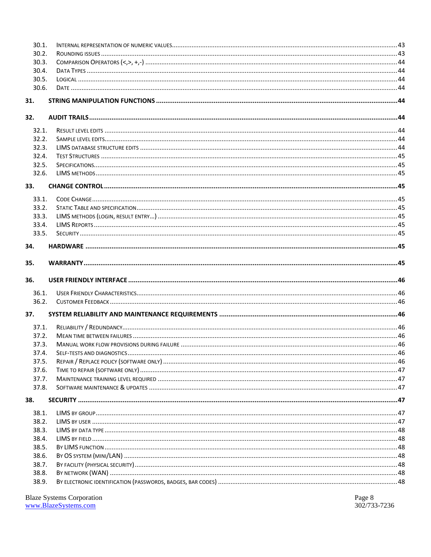| 30.1.               |  |
|---------------------|--|
| 30.2.               |  |
| 30.3.               |  |
| 30.4.<br>30.5.      |  |
|                     |  |
| 30.6.               |  |
| 31.                 |  |
| 32.                 |  |
| 32.1.               |  |
| 32.2.               |  |
| 32.3.               |  |
| 32.4.               |  |
| 32.5.               |  |
| 32.6.               |  |
|                     |  |
| 33.                 |  |
| 33.1.               |  |
| 33.2.               |  |
| 33.3.               |  |
| 33.4.               |  |
| 33.5.               |  |
| 34.                 |  |
|                     |  |
| 35.                 |  |
|                     |  |
|                     |  |
|                     |  |
| 36.1.               |  |
| 36.2.               |  |
|                     |  |
| 37.1.               |  |
| 37.2.               |  |
| 37.3.               |  |
|                     |  |
| 37.4.<br>37.5.      |  |
| 37.6.               |  |
| 37.7.               |  |
| 36.<br>37.<br>37.8. |  |
| 38.                 |  |
|                     |  |
| 38.1.<br>38.2.      |  |
|                     |  |
| 38.3.               |  |
| 38.4.               |  |
| 38.5.               |  |
| 38.6.               |  |
| 38.7.               |  |
| 38.8.<br>38.9.      |  |

Blaze Systems Corporation<br>www.BlazeSystems.com

Page 8<br>302/733-7236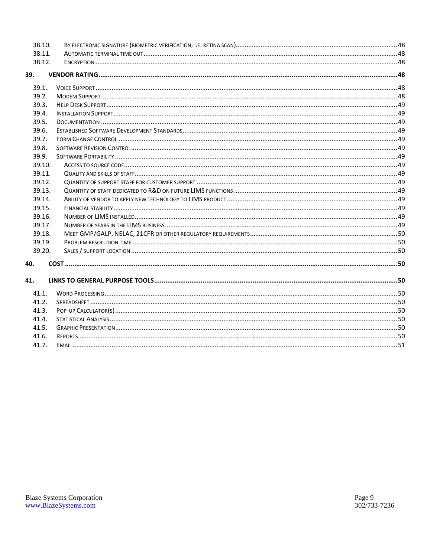| 38.10. |  |
|--------|--|
| 38.11. |  |
| 38.12. |  |
| 39.    |  |
| 39.1.  |  |
| 39.2.  |  |
| 39.3.  |  |
| 39.4.  |  |
| 39.5.  |  |
| 39.6.  |  |
| 39.7.  |  |
| 39.8.  |  |
| 39.9.  |  |
| 39.10. |  |
| 39.11. |  |
| 39.12. |  |
| 39.13. |  |
| 39.14. |  |
| 39.15. |  |
| 39.16. |  |
| 39.17. |  |
| 39.18. |  |
| 39.19. |  |
| 39.20. |  |
| 40.    |  |
| 41.    |  |
| 41.1.  |  |
| 41.2.  |  |
| 41.3.  |  |
| 41.4.  |  |
| 41.5.  |  |
| 41.6.  |  |
| 41.7.  |  |
|        |  |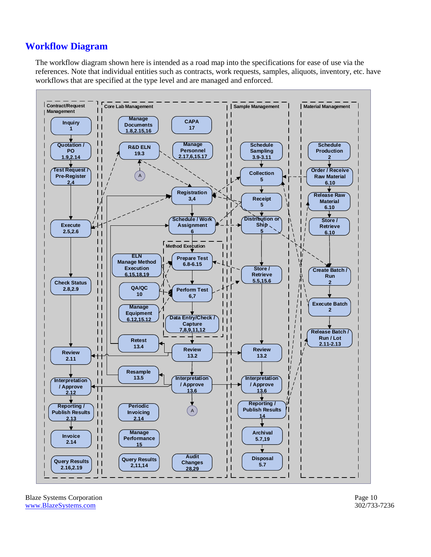## <span id="page-9-0"></span>**Workflow Diagram**

The workflow diagram shown here is intended as a road map into the specifications for ease of use via the references. Note that individual entities such as contracts, work requests, samples, aliquots, inventory, etc. have workflows that are specified at the type level and are managed and enforced.



Blaze Systems Corporation **Page 10** [www.BlazeSystems.com](http://www.blazesystems.com/) 302/733-7236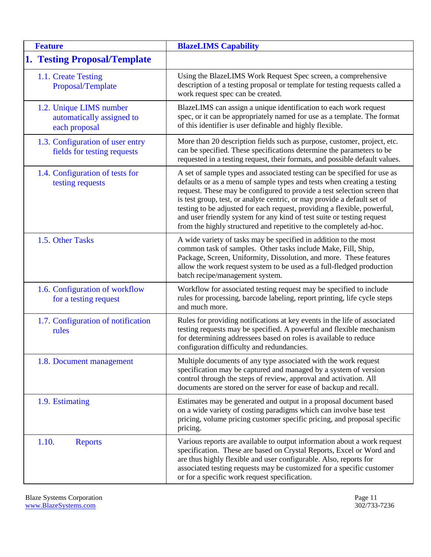<span id="page-10-10"></span><span id="page-10-9"></span><span id="page-10-8"></span><span id="page-10-7"></span><span id="page-10-6"></span><span id="page-10-5"></span><span id="page-10-4"></span><span id="page-10-3"></span><span id="page-10-2"></span><span id="page-10-1"></span><span id="page-10-0"></span>

| <b>Feature</b>                                                        | <b>BlazeLIMS Capability</b>                                                                                                                                                                                                                                                                                                                                                                                                                                                                                                              |
|-----------------------------------------------------------------------|------------------------------------------------------------------------------------------------------------------------------------------------------------------------------------------------------------------------------------------------------------------------------------------------------------------------------------------------------------------------------------------------------------------------------------------------------------------------------------------------------------------------------------------|
| <b>1. Testing Proposal/Template</b>                                   |                                                                                                                                                                                                                                                                                                                                                                                                                                                                                                                                          |
| 1.1. Create Testing<br>Proposal/Template                              | Using the BlazeLIMS Work Request Spec screen, a comprehensive<br>description of a testing proposal or template for testing requests called a<br>work request spec can be created.                                                                                                                                                                                                                                                                                                                                                        |
| 1.2. Unique LIMS number<br>automatically assigned to<br>each proposal | BlazeLIMS can assign a unique identification to each work request<br>spec, or it can be appropriately named for use as a template. The format<br>of this identifier is user definable and highly flexible.                                                                                                                                                                                                                                                                                                                               |
| 1.3. Configuration of user entry<br>fields for testing requests       | More than 20 description fields such as purpose, customer, project, etc.<br>can be specified. These specifications determine the parameters to be<br>requested in a testing request, their formats, and possible default values.                                                                                                                                                                                                                                                                                                         |
| 1.4. Configuration of tests for<br>testing requests                   | A set of sample types and associated testing can be specified for use as<br>defaults or as a menu of sample types and tests when creating a testing<br>request. These may be configured to provide a test selection screen that<br>is test group, test, or analyte centric, or may provide a default set of<br>testing to be adjusted for each request, providing a flexible, powerful,<br>and user friendly system for any kind of test suite or testing request<br>from the highly structured and repetitive to the completely ad-hoc. |
| 1.5. Other Tasks                                                      | A wide variety of tasks may be specified in addition to the most<br>common task of samples. Other tasks include Make, Fill, Ship,<br>Package, Screen, Uniformity, Dissolution, and more. These features<br>allow the work request system to be used as a full-fledged production<br>batch recipe/management system.                                                                                                                                                                                                                      |
| 1.6. Configuration of workflow<br>for a testing request               | Workflow for associated testing request may be specified to include<br>rules for processing, barcode labeling, report printing, life cycle steps<br>and much more.                                                                                                                                                                                                                                                                                                                                                                       |
| 1.7. Configuration of notification<br>rules                           | Rules for providing notifications at key events in the life of associated<br>testing requests may be specified. A powerful and flexible mechanism<br>for determining addressees based on roles is available to reduce<br>configuration difficulty and redundancies.                                                                                                                                                                                                                                                                      |
| 1.8. Document management                                              | Multiple documents of any type associated with the work request<br>specification may be captured and managed by a system of version<br>control through the steps of review, approval and activation. All<br>documents are stored on the server for ease of backup and recall.                                                                                                                                                                                                                                                            |
| 1.9. Estimating                                                       | Estimates may be generated and output in a proposal document based<br>on a wide variety of costing paradigms which can involve base test<br>pricing, volume pricing customer specific pricing, and proposal specific<br>pricing.                                                                                                                                                                                                                                                                                                         |
| 1.10.<br><b>Reports</b>                                               | Various reports are available to output information about a work request<br>specification. These are based on Crystal Reports, Excel or Word and<br>are thus highly flexible and user configurable. Also, reports for<br>associated testing requests may be customized for a specific customer<br>or for a specific work request specification.                                                                                                                                                                                          |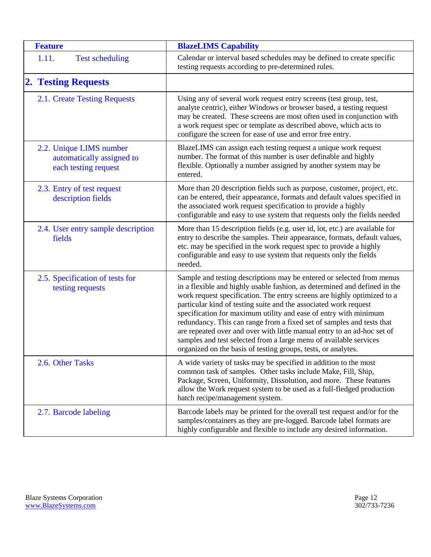<span id="page-11-8"></span><span id="page-11-7"></span><span id="page-11-6"></span><span id="page-11-5"></span><span id="page-11-4"></span><span id="page-11-3"></span><span id="page-11-2"></span><span id="page-11-1"></span><span id="page-11-0"></span>

| <b>Feature</b>                                                               | <b>BlazeLIMS Capability</b>                                                                                                                                                                                                                                                                                                                                                                                                                                                                                                                                                                                                                                     |
|------------------------------------------------------------------------------|-----------------------------------------------------------------------------------------------------------------------------------------------------------------------------------------------------------------------------------------------------------------------------------------------------------------------------------------------------------------------------------------------------------------------------------------------------------------------------------------------------------------------------------------------------------------------------------------------------------------------------------------------------------------|
| 1.11.<br><b>Test scheduling</b>                                              | Calendar or interval based schedules may be defined to create specific<br>testing requests according to pre-determined rules.                                                                                                                                                                                                                                                                                                                                                                                                                                                                                                                                   |
| <b>2. Testing Requests</b>                                                   |                                                                                                                                                                                                                                                                                                                                                                                                                                                                                                                                                                                                                                                                 |
| 2.1. Create Testing Requests                                                 | Using any of several work request entry screens (test group, test,<br>analyte centric), either Windows or browser based, a testing request<br>may be created. These screens are most often used in conjunction with<br>a work request spec or template as described above, which acts to<br>configure the screen for ease of use and error free entry.                                                                                                                                                                                                                                                                                                          |
| 2.2. Unique LIMS number<br>automatically assigned to<br>each testing request | BlazeLIMS can assign each testing request a unique work request<br>number. The format of this number is user definable and highly<br>flexible. Optionally a number assigned by another system may be<br>entered.                                                                                                                                                                                                                                                                                                                                                                                                                                                |
| 2.3. Entry of test request<br>description fields                             | More than 20 description fields such as purpose, customer, project, etc.<br>can be entered, their appearance, formats and default values specified in<br>the associated work request specification to provide a highly<br>configurable and easy to use system that requests only the fields needed                                                                                                                                                                                                                                                                                                                                                              |
| 2.4. User entry sample description<br>fields                                 | More than 15 description fields (e.g. user id, lot, etc.) are available for<br>entry to describe the samples. Their appearance, formats, default values,<br>etc. may be specified in the work request spec to provide a highly<br>configurable and easy to use system that requests only the fields<br>needed.                                                                                                                                                                                                                                                                                                                                                  |
| 2.5. Specification of tests for<br>testing requests                          | Sample and testing descriptions may be entered or selected from menus<br>in a flexible and highly usable fashion, as determined and defined in the<br>work request specification. The entry screens are highly optimized to a<br>particular kind of testing suite and the associated work request<br>specification for maximum utility and ease of entry with minimum<br>redundancy. This can range from a fixed set of samples and tests that<br>are repeated over and over with little manual entry to an ad-hoc set of<br>samples and test selected from a large menu of available services<br>organized on the basis of testing groups, tests, or analytes. |
| 2.6. Other Tasks                                                             | A wide variety of tasks may be specified in addition to the most<br>common task of samples. Other tasks include Make, Fill, Ship,<br>Package, Screen, Uniformity, Dissolution, and more. These features<br>allow the Work request system to be used as a full-fledged production<br>batch recipe/management system.                                                                                                                                                                                                                                                                                                                                             |
| 2.7. Barcode labeling                                                        | Barcode labels may be printed for the overall test request and/or for the<br>samples/containers as they are pre-logged. Barcode label formats are<br>highly configurable and flexible to include any desired information.                                                                                                                                                                                                                                                                                                                                                                                                                                       |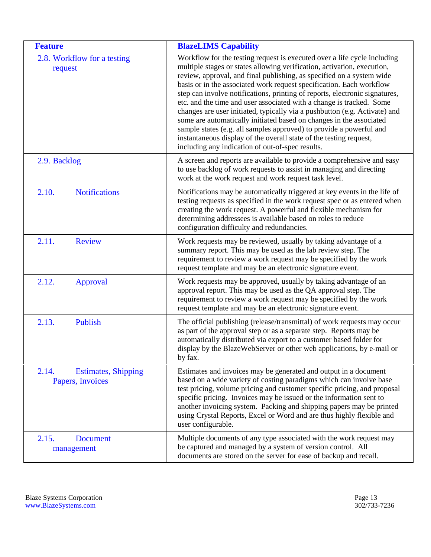<span id="page-12-7"></span><span id="page-12-6"></span><span id="page-12-5"></span><span id="page-12-4"></span><span id="page-12-3"></span><span id="page-12-2"></span><span id="page-12-1"></span><span id="page-12-0"></span>

| <b>Feature</b>                                          | <b>BlazeLIMS Capability</b>                                                                                                                                                                                                                                                                                                                                                                                                                                                                                                                                                                                                                                                                                                                                                                                       |
|---------------------------------------------------------|-------------------------------------------------------------------------------------------------------------------------------------------------------------------------------------------------------------------------------------------------------------------------------------------------------------------------------------------------------------------------------------------------------------------------------------------------------------------------------------------------------------------------------------------------------------------------------------------------------------------------------------------------------------------------------------------------------------------------------------------------------------------------------------------------------------------|
| 2.8. Workflow for a testing<br>request                  | Workflow for the testing request is executed over a life cycle including<br>multiple stages or states allowing verification, activation, execution,<br>review, approval, and final publishing, as specified on a system wide<br>basis or in the associated work request specification. Each workflow<br>step can involve notifications, printing of reports, electronic signatures,<br>etc. and the time and user associated with a change is tracked. Some<br>changes are user initiated, typically via a pushbutton (e.g. Activate) and<br>some are automatically initiated based on changes in the associated<br>sample states (e.g. all samples approved) to provide a powerful and<br>instantaneous display of the overall state of the testing request,<br>including any indication of out-of-spec results. |
| 2.9. Backlog                                            | A screen and reports are available to provide a comprehensive and easy<br>to use backlog of work requests to assist in managing and directing<br>work at the work request and work request task level.                                                                                                                                                                                                                                                                                                                                                                                                                                                                                                                                                                                                            |
| 2.10.<br><b>Notifications</b>                           | Notifications may be automatically triggered at key events in the life of<br>testing requests as specified in the work request spec or as entered when<br>creating the work request. A powerful and flexible mechanism for<br>determining addressees is available based on roles to reduce<br>configuration difficulty and redundancies.                                                                                                                                                                                                                                                                                                                                                                                                                                                                          |
| 2.11.<br><b>Review</b>                                  | Work requests may be reviewed, usually by taking advantage of a<br>summary report. This may be used as the lab review step. The<br>requirement to review a work request may be specified by the work<br>request template and may be an electronic signature event.                                                                                                                                                                                                                                                                                                                                                                                                                                                                                                                                                |
| 2.12.<br>Approval                                       | Work requests may be approved, usually by taking advantage of an<br>approval report. This may be used as the QA approval step. The<br>requirement to review a work request may be specified by the work<br>request template and may be an electronic signature event.                                                                                                                                                                                                                                                                                                                                                                                                                                                                                                                                             |
| 2.13.<br>Publish                                        | The official publishing (release/transmittal) of work requests may occur<br>as part of the approval step or as a separate step. Reports may be<br>automatically distributed via export to a customer based folder for<br>display by the BlazeWebServer or other web applications, by e-mail or<br>by fax.                                                                                                                                                                                                                                                                                                                                                                                                                                                                                                         |
| 2.14.<br><b>Estimates, Shipping</b><br>Papers, Invoices | Estimates and invoices may be generated and output in a document<br>based on a wide variety of costing paradigms which can involve base<br>test pricing, volume pricing and customer specific pricing, and proposal<br>specific pricing. Invoices may be issued or the information sent to<br>another invoicing system. Packing and shipping papers may be printed<br>using Crystal Reports, Excel or Word and are thus highly flexible and<br>user configurable.                                                                                                                                                                                                                                                                                                                                                 |
| 2.15.<br><b>Document</b><br>management                  | Multiple documents of any type associated with the work request may<br>be captured and managed by a system of version control. All<br>documents are stored on the server for ease of backup and recall.                                                                                                                                                                                                                                                                                                                                                                                                                                                                                                                                                                                                           |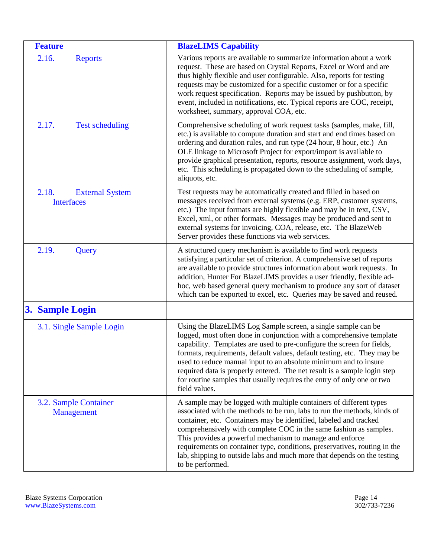<span id="page-13-6"></span><span id="page-13-5"></span><span id="page-13-4"></span><span id="page-13-3"></span><span id="page-13-2"></span><span id="page-13-1"></span><span id="page-13-0"></span>

| <b>Feature</b>                                       | <b>BlazeLIMS Capability</b>                                                                                                                                                                                                                                                                                                                                                                                                                                                                                                            |
|------------------------------------------------------|----------------------------------------------------------------------------------------------------------------------------------------------------------------------------------------------------------------------------------------------------------------------------------------------------------------------------------------------------------------------------------------------------------------------------------------------------------------------------------------------------------------------------------------|
| 2.16.<br><b>Reports</b>                              | Various reports are available to summarize information about a work<br>request. These are based on Crystal Reports, Excel or Word and are<br>thus highly flexible and user configurable. Also, reports for testing<br>requests may be customized for a specific customer or for a specific<br>work request specification. Reports may be issued by pushbutton, by<br>event, included in notifications, etc. Typical reports are COC, receipt,<br>worksheet, summary, approval COA, etc.                                                |
| 2.17.<br><b>Test scheduling</b>                      | Comprehensive scheduling of work request tasks (samples, make, fill,<br>etc.) is available to compute duration and start and end times based on<br>ordering and duration rules, and run type (24 hour, 8 hour, etc.) An<br>OLE linkage to Microsoft Project for export/import is available to<br>provide graphical presentation, reports, resource assignment, work days,<br>etc. This scheduling is propagated down to the scheduling of sample,<br>aliquots, etc.                                                                    |
| 2.18.<br><b>External System</b><br><b>Interfaces</b> | Test requests may be automatically created and filled in based on<br>messages received from external systems (e.g. ERP, customer systems,<br>etc.) The input formats are highly flexible and may be in text, CSV,<br>Excel, xml, or other formats. Messages may be produced and sent to<br>external systems for invoicing, COA, release, etc. The BlazeWeb<br>Server provides these functions via web services.                                                                                                                        |
| 2.19.<br>Query                                       | A structured query mechanism is available to find work requests<br>satisfying a particular set of criterion. A comprehensive set of reports<br>are available to provide structures information about work requests. In<br>addition, Hunter For BlazeLIMS provides a user friendly, flexible ad-<br>hoc, web based general query mechanism to produce any sort of dataset<br>which can be exported to excel, etc. Queries may be saved and reused.                                                                                      |
| 3. Sample Login                                      |                                                                                                                                                                                                                                                                                                                                                                                                                                                                                                                                        |
| 3.1. Single Sample Login                             | Using the BlazeLIMS Log Sample screen, a single sample can be<br>logged, most often done in conjunction with a comprehensive template<br>capability. Templates are used to pre-configure the screen for fields,<br>formats, requirements, default values, default testing, etc. They may be<br>used to reduce manual input to an absolute minimum and to insure<br>required data is properly entered. The net result is a sample login step<br>for routine samples that usually requires the entry of only one or two<br>field values. |
| 3.2. Sample Container<br><b>Management</b>           | A sample may be logged with multiple containers of different types<br>associated with the methods to be run, labs to run the methods, kinds of<br>container, etc. Containers may be identified, labeled and tracked<br>comprehensively with complete COC in the same fashion as samples.<br>This provides a powerful mechanism to manage and enforce<br>requirements on container type, conditions, preservatives, routing in the<br>lab, shipping to outside labs and much more that depends on the testing<br>to be performed.       |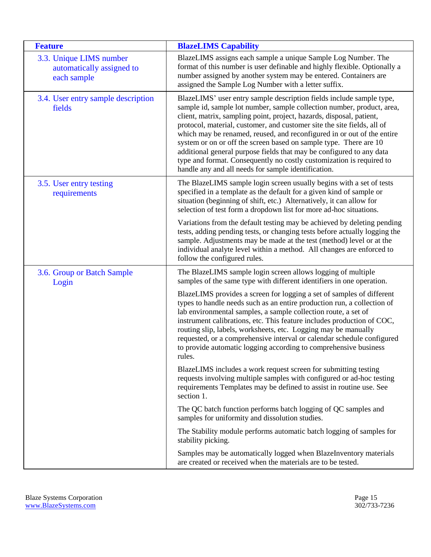<span id="page-14-3"></span><span id="page-14-2"></span><span id="page-14-1"></span><span id="page-14-0"></span>

| <b>Feature</b>                                                      | <b>BlazeLIMS Capability</b>                                                                                                                                                                                                                                                                                                                                                                                                                                                                                                                                                                                                                             |
|---------------------------------------------------------------------|---------------------------------------------------------------------------------------------------------------------------------------------------------------------------------------------------------------------------------------------------------------------------------------------------------------------------------------------------------------------------------------------------------------------------------------------------------------------------------------------------------------------------------------------------------------------------------------------------------------------------------------------------------|
| 3.3. Unique LIMS number<br>automatically assigned to<br>each sample | BlazeLIMS assigns each sample a unique Sample Log Number. The<br>format of this number is user definable and highly flexible. Optionally a<br>number assigned by another system may be entered. Containers are<br>assigned the Sample Log Number with a letter suffix.                                                                                                                                                                                                                                                                                                                                                                                  |
| 3.4. User entry sample description<br>fields                        | BlazeLIMS' user entry sample description fields include sample type,<br>sample id, sample lot number, sample collection number, product, area,<br>client, matrix, sampling point, project, hazards, disposal, patient,<br>protocol, material, customer, and customer site the site fields, all of<br>which may be renamed, reused, and reconfigured in or out of the entire<br>system or on or off the screen based on sample type. There are 10<br>additional general purpose fields that may be configured to any data<br>type and format. Consequently no costly customization is required to<br>handle any and all needs for sample identification. |
| 3.5. User entry testing<br>requirements                             | The BlazeLIMS sample login screen usually begins with a set of tests<br>specified in a template as the default for a given kind of sample or<br>situation (beginning of shift, etc.) Alternatively, it can allow for<br>selection of test form a dropdown list for more ad-hoc situations.                                                                                                                                                                                                                                                                                                                                                              |
|                                                                     | Variations from the default testing may be achieved by deleting pending<br>tests, adding pending tests, or changing tests before actually logging the<br>sample. Adjustments may be made at the test (method) level or at the<br>individual analyte level within a method. All changes are enforced to<br>follow the configured rules.                                                                                                                                                                                                                                                                                                                  |
| 3.6. Group or Batch Sample<br>Login                                 | The BlazeLIMS sample login screen allows logging of multiple<br>samples of the same type with different identifiers in one operation.                                                                                                                                                                                                                                                                                                                                                                                                                                                                                                                   |
|                                                                     | BlazeLIMS provides a screen for logging a set of samples of different<br>types to handle needs such as an entire production run, a collection of<br>lab environmental samples, a sample collection route, a set of<br>instrument calibrations, etc. This feature includes production of COC,<br>routing slip, labels, worksheets, etc. Logging may be manually<br>requested, or a comprehensive interval or calendar schedule configured<br>to provide automatic logging according to comprehensive business<br>rules.                                                                                                                                  |
|                                                                     | BlazeLIMS includes a work request screen for submitting testing<br>requests involving multiple samples with configured or ad-hoc testing<br>requirements Templates may be defined to assist in routine use. See<br>section 1.                                                                                                                                                                                                                                                                                                                                                                                                                           |
|                                                                     | The QC batch function performs batch logging of QC samples and<br>samples for uniformity and dissolution studies.                                                                                                                                                                                                                                                                                                                                                                                                                                                                                                                                       |
|                                                                     | The Stability module performs automatic batch logging of samples for<br>stability picking.                                                                                                                                                                                                                                                                                                                                                                                                                                                                                                                                                              |
|                                                                     | Samples may be automatically logged when BlazeInventory materials<br>are created or received when the materials are to be tested.                                                                                                                                                                                                                                                                                                                                                                                                                                                                                                                       |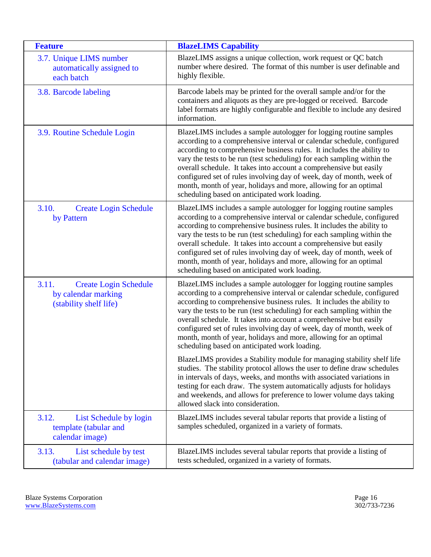<span id="page-15-6"></span><span id="page-15-5"></span><span id="page-15-4"></span><span id="page-15-3"></span><span id="page-15-2"></span><span id="page-15-1"></span><span id="page-15-0"></span>

| <b>Feature</b>                                                                         | <b>BlazeLIMS Capability</b>                                                                                                                                                                                                                                                                                                                                                                                                                                                                                                                                         |
|----------------------------------------------------------------------------------------|---------------------------------------------------------------------------------------------------------------------------------------------------------------------------------------------------------------------------------------------------------------------------------------------------------------------------------------------------------------------------------------------------------------------------------------------------------------------------------------------------------------------------------------------------------------------|
| 3.7. Unique LIMS number<br>automatically assigned to<br>each batch                     | BlazeLIMS assigns a unique collection, work request or QC batch<br>number where desired. The format of this number is user definable and<br>highly flexible.                                                                                                                                                                                                                                                                                                                                                                                                        |
| 3.8. Barcode labeling                                                                  | Barcode labels may be printed for the overall sample and/or for the<br>containers and aliquots as they are pre-logged or received. Barcode<br>label formats are highly configurable and flexible to include any desired<br>information.                                                                                                                                                                                                                                                                                                                             |
| 3.9. Routine Schedule Login                                                            | BlazeLIMS includes a sample autologger for logging routine samples<br>according to a comprehensive interval or calendar schedule, configured<br>according to comprehensive business rules. It includes the ability to<br>vary the tests to be run (test scheduling) for each sampling within the<br>overall schedule. It takes into account a comprehensive but easily<br>configured set of rules involving day of week, day of month, week of<br>month, month of year, holidays and more, allowing for an optimal<br>scheduling based on anticipated work loading. |
| 3.10.<br><b>Create Login Schedule</b><br>by Pattern                                    | BlazeLIMS includes a sample autologger for logging routine samples<br>according to a comprehensive interval or calendar schedule, configured<br>according to comprehensive business rules. It includes the ability to<br>vary the tests to be run (test scheduling) for each sampling within the<br>overall schedule. It takes into account a comprehensive but easily<br>configured set of rules involving day of week, day of month, week of<br>month, month of year, holidays and more, allowing for an optimal<br>scheduling based on anticipated work loading. |
| 3.11.<br><b>Create Login Schedule</b><br>by calendar marking<br>(stability shelf life) | BlazeLIMS includes a sample autologger for logging routine samples<br>according to a comprehensive interval or calendar schedule, configured<br>according to comprehensive business rules. It includes the ability to<br>vary the tests to be run (test scheduling) for each sampling within the<br>overall schedule. It takes into account a comprehensive but easily<br>configured set of rules involving day of week, day of month, week of<br>month, month of year, holidays and more, allowing for an optimal<br>scheduling based on anticipated work loading. |
|                                                                                        | BlazeLIMS provides a Stability module for managing stability shelf life<br>studies. The stability protocol allows the user to define draw schedules<br>in intervals of days, weeks, and months with associated variations in<br>testing for each draw. The system automatically adjusts for holidays<br>and weekends, and allows for preference to lower volume days taking<br>allowed slack into consideration.                                                                                                                                                    |
| 3.12.<br>List Schedule by login<br>template (tabular and<br>calendar image)            | BlazeLIMS includes several tabular reports that provide a listing of<br>samples scheduled, organized in a variety of formats.                                                                                                                                                                                                                                                                                                                                                                                                                                       |
| 3.13.<br>List schedule by test<br>(tabular and calendar image)                         | BlazeLIMS includes several tabular reports that provide a listing of<br>tests scheduled, organized in a variety of formats.                                                                                                                                                                                                                                                                                                                                                                                                                                         |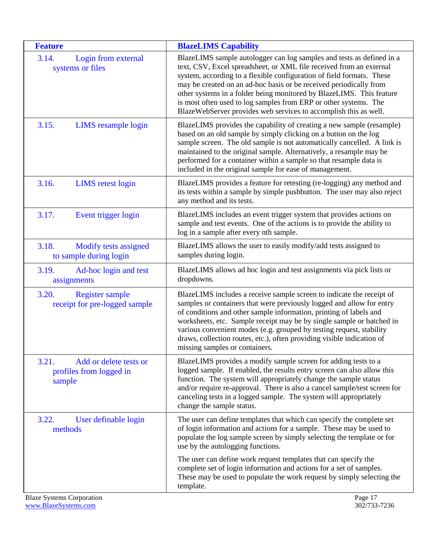<span id="page-16-8"></span><span id="page-16-7"></span><span id="page-16-6"></span><span id="page-16-5"></span><span id="page-16-4"></span><span id="page-16-3"></span><span id="page-16-2"></span><span id="page-16-1"></span><span id="page-16-0"></span>

| <b>Feature</b>                                                       | <b>BlazeLIMS Capability</b>                                                                                                                                                                                                                                                                                                                                                                                                                                                                                 |
|----------------------------------------------------------------------|-------------------------------------------------------------------------------------------------------------------------------------------------------------------------------------------------------------------------------------------------------------------------------------------------------------------------------------------------------------------------------------------------------------------------------------------------------------------------------------------------------------|
| 3.14.<br>Login from external<br>systems or files                     | BlazeLIMS sample autologger can log samples and tests as defined in a<br>text, CSV, Excel spreadsheet, or XML file received from an external<br>system, according to a flexible configuration of field formats. These<br>may be created on an ad-hoc basis or be received periodically from<br>other systems in a folder being monitored by BlazeLIMS. This feature<br>is most often used to log samples from ERP or other systems. The<br>BlazeWebServer provides web services to accomplish this as well. |
| 3.15.<br><b>LIMS</b> resample login                                  | BlazeLIMS provides the capability of creating a new sample (resample)<br>based on an old sample by simply clicking on a button on the log<br>sample screen. The old sample is not automatically cancelled. A link is<br>maintained to the original sample. Alternatively, a resample may be<br>performed for a container within a sample so that resample data is<br>included in the original sample for ease of management.                                                                                |
| 3.16.<br><b>LIMS</b> retest login                                    | BlazeLIMS provides a feature for retesting (re-logging) any method and<br>its tests within a sample by simple pushbutton. The user may also reject<br>any method and its tests.                                                                                                                                                                                                                                                                                                                             |
| 3.17.<br>Event trigger login                                         | BlazeLIMS includes an event trigger system that provides actions on<br>sample and test events. One of the actions is to provide the ability to<br>log in a sample after every nth sample.                                                                                                                                                                                                                                                                                                                   |
| 3.18.<br>Modify tests assigned<br>to sample during login             | BlazeLIMS allows the user to easily modify/add tests assigned to<br>samples during login.                                                                                                                                                                                                                                                                                                                                                                                                                   |
| 3.19.<br>Ad-hoc login and test<br>assignments                        | BlazeLIMS allows ad hoc login and test assignments via pick lists or<br>dropdowns.                                                                                                                                                                                                                                                                                                                                                                                                                          |
| 3.20.<br><b>Register sample</b><br>receipt for pre-logged sample     | BlazeLIMS includes a receive sample screen to indicate the receipt of<br>samples or containers that were previously logged and allow for entry<br>of conditions and other sample information, printing of labels and<br>worksheets, etc. Sample receipt may be by single sample or batched in<br>various convenient modes (e.g. grouped by testing request, stability<br>draws, collection routes, etc.), often providing visible indication of<br>missing samples or containers.                           |
| 3.21.<br>Add or delete tests or<br>profiles from logged in<br>sample | BlazeLIMS provides a modify sample screen for adding tests to a<br>logged sample. If enabled, the results entry screen can also allow this<br>function. The system will appropriately change the sample status<br>and/or require re-approval. There is also a cancel sample/test screen for<br>canceling tests in a logged sample. The system will appropriately<br>change the sample status.                                                                                                               |
| User definable login<br>3.22.<br>methods                             | The user can define templates that which can specify the complete set<br>of login information and actions for a sample. These may be used to<br>populate the log sample screen by simply selecting the template or for<br>use by the autologging functions.                                                                                                                                                                                                                                                 |
|                                                                      | The user can define work request templates that can specify the<br>complete set of login information and actions for a set of samples.<br>These may be used to populate the work request by simply selecting the<br>template.                                                                                                                                                                                                                                                                               |
| <b>Blaze Systems Corporation</b>                                     | Page 17                                                                                                                                                                                                                                                                                                                                                                                                                                                                                                     |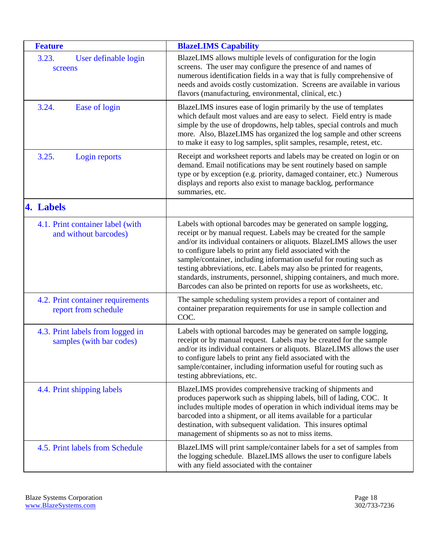<span id="page-17-8"></span><span id="page-17-7"></span><span id="page-17-6"></span><span id="page-17-5"></span><span id="page-17-4"></span><span id="page-17-3"></span><span id="page-17-2"></span><span id="page-17-1"></span><span id="page-17-0"></span>

| <b>Feature</b>                                               | <b>BlazeLIMS Capability</b>                                                                                                                                                                                                                                                                                                                                                                                                                                                                                                                                                     |
|--------------------------------------------------------------|---------------------------------------------------------------------------------------------------------------------------------------------------------------------------------------------------------------------------------------------------------------------------------------------------------------------------------------------------------------------------------------------------------------------------------------------------------------------------------------------------------------------------------------------------------------------------------|
| 3.23.<br>User definable login<br>screens                     | BlazeLIMS allows multiple levels of configuration for the login<br>screens. The user may configure the presence of and names of<br>numerous identification fields in a way that is fully comprehensive of<br>needs and avoids costly customization. Screens are available in various<br>flavors (manufacturing, environmental, clinical, etc.)                                                                                                                                                                                                                                  |
| 3.24.<br>Ease of login                                       | BlazeLIMS insures ease of login primarily by the use of templates<br>which default most values and are easy to select. Field entry is made<br>simple by the use of dropdowns, help tables, special controls and much<br>more. Also, BlazeLIMS has organized the log sample and other screens<br>to make it easy to log samples, split samples, resample, retest, etc.                                                                                                                                                                                                           |
| 3.25.<br>Login reports                                       | Receipt and worksheet reports and labels may be created on login or on<br>demand. Email notifications may be sent routinely based on sample<br>type or by exception (e.g. priority, damaged container, etc.) Numerous<br>displays and reports also exist to manage backlog, performance<br>summaries, etc.                                                                                                                                                                                                                                                                      |
| 4. Labels                                                    |                                                                                                                                                                                                                                                                                                                                                                                                                                                                                                                                                                                 |
| 4.1. Print container label (with<br>and without barcodes)    | Labels with optional barcodes may be generated on sample logging,<br>receipt or by manual request. Labels may be created for the sample<br>and/or its individual containers or aliquots. BlazeLIMS allows the user<br>to configure labels to print any field associated with the<br>sample/container, including information useful for routing such as<br>testing abbreviations, etc. Labels may also be printed for reagents,<br>standards, instruments, personnel, shipping containers, and much more.<br>Barcodes can also be printed on reports for use as worksheets, etc. |
| 4.2. Print container requirements<br>report from schedule    | The sample scheduling system provides a report of container and<br>container preparation requirements for use in sample collection and<br>COC.                                                                                                                                                                                                                                                                                                                                                                                                                                  |
| 4.3. Print labels from logged in<br>samples (with bar codes) | Labels with optional barcodes may be generated on sample logging,<br>receipt or by manual request. Labels may be created for the sample<br>and/or its individual containers or aliquots. BlazeLIMS allows the user<br>to configure labels to print any field associated with the<br>sample/container, including information useful for routing such as<br>testing abbreviations, etc.                                                                                                                                                                                           |
| 4.4. Print shipping labels                                   | BlazeLIMS provides comprehensive tracking of shipments and<br>produces paperwork such as shipping labels, bill of lading, COC. It<br>includes multiple modes of operation in which individual items may be<br>barcoded into a shipment, or all items available for a particular<br>destination, with subsequent validation. This insures optimal<br>management of shipments so as not to miss items.                                                                                                                                                                            |
| 4.5. Print labels from Schedule                              | BlazeLIMS will print sample/container labels for a set of samples from<br>the logging schedule. BlazeLIMS allows the user to configure labels<br>with any field associated with the container                                                                                                                                                                                                                                                                                                                                                                                   |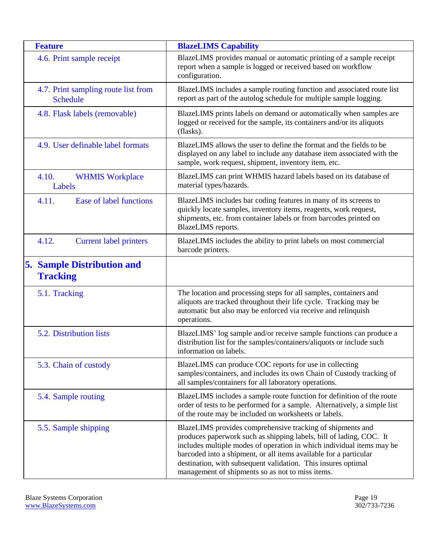<span id="page-18-12"></span><span id="page-18-11"></span><span id="page-18-10"></span><span id="page-18-9"></span><span id="page-18-8"></span><span id="page-18-7"></span><span id="page-18-6"></span><span id="page-18-5"></span><span id="page-18-4"></span><span id="page-18-3"></span><span id="page-18-2"></span><span id="page-18-1"></span><span id="page-18-0"></span>

| <b>Feature</b>                                         | <b>BlazeLIMS Capability</b>                                                                                                                                                                                                                                                                                                                                                                          |
|--------------------------------------------------------|------------------------------------------------------------------------------------------------------------------------------------------------------------------------------------------------------------------------------------------------------------------------------------------------------------------------------------------------------------------------------------------------------|
| 4.6. Print sample receipt                              | BlazeLIMS provides manual or automatic printing of a sample receipt<br>report when a sample is logged or received based on workflow<br>configuration.                                                                                                                                                                                                                                                |
| 4.7. Print sampling route list from<br><b>Schedule</b> | BlazeLIMS includes a sample routing function and associated route list<br>report as part of the autolog schedule for multiple sample logging.                                                                                                                                                                                                                                                        |
| 4.8. Flask labels (removable)                          | BlazeLIMS prints labels on demand or automatically when samples are<br>logged or received for the sample, its containers and/or its aliquots<br>(flasks).                                                                                                                                                                                                                                            |
| 4.9. User definable label formats                      | BlazeLIMS allows the user to define the format and the fields to be<br>displayed on any label to include any database item associated with the<br>sample, work request, shipment, inventory item, etc.                                                                                                                                                                                               |
| 4.10.<br><b>WHMIS Workplace</b><br>Labels              | BlazeLIMS can print WHMIS hazard labels based on its database of<br>material types/hazards.                                                                                                                                                                                                                                                                                                          |
| Ease of label functions<br>4.11.                       | BlazeLIMS includes bar coding features in many of its screens to<br>quickly locate samples, inventory items, reagents, work request,<br>shipments, etc. from container labels or from barcodes printed on<br>BlazeLIMS reports.                                                                                                                                                                      |
| 4.12.<br><b>Current label printers</b>                 | BlazeLIMS includes the ability to print labels on most commercial<br>barcode printers.                                                                                                                                                                                                                                                                                                               |
| <b>5. Sample Distribution and</b><br><b>Tracking</b>   |                                                                                                                                                                                                                                                                                                                                                                                                      |
| 5.1. Tracking                                          | The location and processing steps for all samples, containers and<br>aliquots are tracked throughout their life cycle. Tracking may be<br>automatic but also may be enforced via receive and relinquish<br>operations.                                                                                                                                                                               |
| 5.2. Distribution lists                                | BlazeLIMS' log sample and/or receive sample functions can produce a<br>distribution list for the samples/containers/aliquots or include such<br>information on labels.                                                                                                                                                                                                                               |
| 5.3. Chain of custody                                  | BlazeLIMS can produce COC reports for use in collecting<br>samples/containers, and includes its own Chain of Custody tracking of<br>all samples/containers for all laboratory operations.                                                                                                                                                                                                            |
| 5.4. Sample routing                                    | BlazeLIMS includes a sample route function for definition of the route<br>order of tests to be performed for a sample. Alternatively, a simple list<br>of the route may be included on worksheets or labels.                                                                                                                                                                                         |
| 5.5. Sample shipping                                   | BlazeLIMS provides comprehensive tracking of shipments and<br>produces paperwork such as shipping labels, bill of lading, COC. It<br>includes multiple modes of operation in which individual items may be<br>barcoded into a shipment, or all items available for a particular<br>destination, with subsequent validation. This insures optimal<br>management of shipments so as not to miss items. |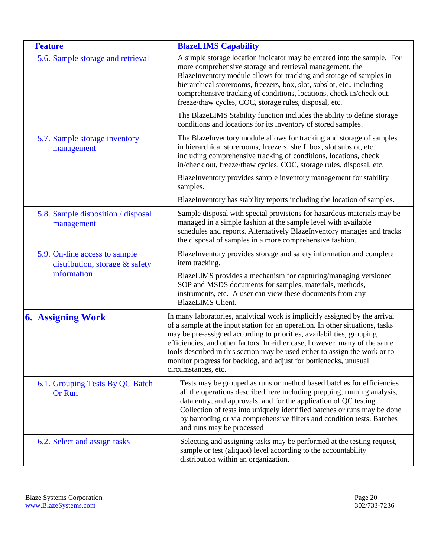<span id="page-19-6"></span><span id="page-19-5"></span><span id="page-19-4"></span><span id="page-19-3"></span><span id="page-19-2"></span><span id="page-19-1"></span><span id="page-19-0"></span>

| <b>Feature</b>                                                                 | <b>BlazeLIMS Capability</b>                                                                                                                                                                                                                                                                                                                                                                                                                                                                    |
|--------------------------------------------------------------------------------|------------------------------------------------------------------------------------------------------------------------------------------------------------------------------------------------------------------------------------------------------------------------------------------------------------------------------------------------------------------------------------------------------------------------------------------------------------------------------------------------|
| 5.6. Sample storage and retrieval                                              | A simple storage location indicator may be entered into the sample. For<br>more comprehensive storage and retrieval management, the<br>BlazeInventory module allows for tracking and storage of samples in<br>hierarchical storerooms, freezers, box, slot, subslot, etc., including<br>comprehensive tracking of conditions, locations, check in/check out,<br>freeze/thaw cycles, COC, storage rules, disposal, etc.                                                                         |
|                                                                                | The BlazeLIMS Stability function includes the ability to define storage<br>conditions and locations for its inventory of stored samples.                                                                                                                                                                                                                                                                                                                                                       |
| 5.7. Sample storage inventory<br>management                                    | The BlazeInventory module allows for tracking and storage of samples<br>in hierarchical storerooms, freezers, shelf, box, slot subslot, etc.,<br>including comprehensive tracking of conditions, locations, check<br>in/check out, freeze/thaw cycles, COC, storage rules, disposal, etc.                                                                                                                                                                                                      |
|                                                                                | BlazeInventory provides sample inventory management for stability<br>samples.                                                                                                                                                                                                                                                                                                                                                                                                                  |
|                                                                                | BlazeInventory has stability reports including the location of samples.                                                                                                                                                                                                                                                                                                                                                                                                                        |
| 5.8. Sample disposition / disposal<br>management                               | Sample disposal with special provisions for hazardous materials may be<br>managed in a simple fashion at the sample level with available<br>schedules and reports. Alternatively BlazeInventory manages and tracks<br>the disposal of samples in a more comprehensive fashion.                                                                                                                                                                                                                 |
| 5.9. On-line access to sample<br>distribution, storage & safety<br>information | BlazeInventory provides storage and safety information and complete<br>item tracking.                                                                                                                                                                                                                                                                                                                                                                                                          |
|                                                                                | BlazeLIMS provides a mechanism for capturing/managing versioned<br>SOP and MSDS documents for samples, materials, methods,<br>instruments, etc. A user can view these documents from any<br><b>BlazeLIMS</b> Client.                                                                                                                                                                                                                                                                           |
| <b>6. Assigning Work</b>                                                       | In many laboratories, analytical work is implicitly assigned by the arrival<br>of a sample at the input station for an operation. In other situations, tasks<br>may be pre-assigned according to priorities, availabilities, grouping<br>efficiencies, and other factors. In either case, however, many of the same<br>tools described in this section may be used either to assign the work or to<br>monitor progress for backlog, and adjust for bottlenecks, unusual<br>circumstances, etc. |
| 6.1. Grouping Tests By QC Batch<br><b>Or Run</b>                               | Tests may be grouped as runs or method based batches for efficiencies<br>all the operations described here including prepping, running analysis,<br>data entry, and approvals, and for the application of QC testing.<br>Collection of tests into uniquely identified batches or runs may be done<br>by barcoding or via comprehensive filters and condition tests. Batches<br>and runs may be processed                                                                                       |
| 6.2. Select and assign tasks                                                   | Selecting and assigning tasks may be performed at the testing request,<br>sample or test (aliquot) level according to the accountability<br>distribution within an organization.                                                                                                                                                                                                                                                                                                               |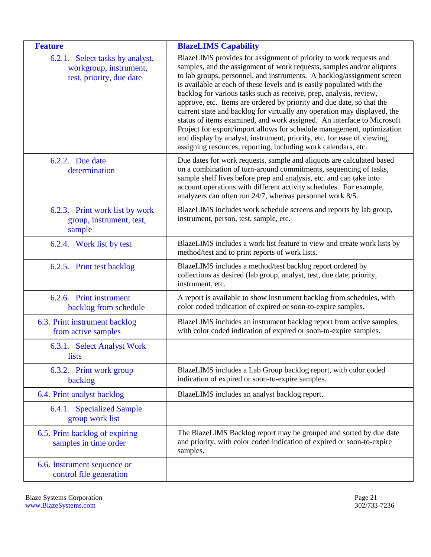<span id="page-20-3"></span><span id="page-20-2"></span><span id="page-20-1"></span><span id="page-20-0"></span>

| <b>Feature</b>                                                                        | <b>BlazeLIMS Capability</b>                                                                                                                                                                                                                                                                                                                                                                                                                                                                                                                                                                                                                                                                                                                                                                                                |
|---------------------------------------------------------------------------------------|----------------------------------------------------------------------------------------------------------------------------------------------------------------------------------------------------------------------------------------------------------------------------------------------------------------------------------------------------------------------------------------------------------------------------------------------------------------------------------------------------------------------------------------------------------------------------------------------------------------------------------------------------------------------------------------------------------------------------------------------------------------------------------------------------------------------------|
| 6.2.1. Select tasks by analyst,<br>workgroup, instrument,<br>test, priority, due date | BlazeLIMS provides for assignment of priority to work requests and<br>samples, and the assignment of work requests, samples and/or aliquots<br>to lab groups, personnel, and instruments. A backlog/assignment screen<br>is available at each of these levels and is easily populated with the<br>backlog for various tasks such as receive, prep, analysis, review,<br>approve, etc. Items are ordered by priority and due date, so that the<br>current state and backlog for virtually any operation may displayed, the<br>status of items examined, and work assigned. An interface to Microsoft<br>Project for export/import allows for schedule management, optimization<br>and display by analyst, instrument, priority, etc. for ease of viewing,<br>assigning resources, reporting, including work calendars, etc. |
| 6.2.2. Due date<br>determination                                                      | Due dates for work requests, sample and aliquots are calculated based<br>on a combination of turn-around commitments, sequencing of tasks,<br>sample shelf lives before prep and analysis, etc. and can take into<br>account operations with different activity schedules. For example,<br>analyzers can often run 24/7, whereas personnel work 8/5.                                                                                                                                                                                                                                                                                                                                                                                                                                                                       |
| 6.2.3. Print work list by work<br>group, instrument, test,<br>sample                  | BlazeLIMS includes work schedule screens and reports by lab group,<br>instrument, person, test, sample, etc.                                                                                                                                                                                                                                                                                                                                                                                                                                                                                                                                                                                                                                                                                                               |
| 6.2.4. Work list by test                                                              | BlazeLIMS includes a work list feature to view and create work lists by<br>method/test and to print reports of work lists.                                                                                                                                                                                                                                                                                                                                                                                                                                                                                                                                                                                                                                                                                                 |
| 6.2.5. Print test backlog                                                             | BlazeLIMS includes a method/test backlog report ordered by<br>collections as desired (lab group, analyst, test, due date, priority,<br>instrument, etc.                                                                                                                                                                                                                                                                                                                                                                                                                                                                                                                                                                                                                                                                    |
| 6.2.6. Print instrument<br>backlog from schedule                                      | A report is available to show instrument backlog from schedules, with<br>color coded indication of expired or soon-to-expire samples.                                                                                                                                                                                                                                                                                                                                                                                                                                                                                                                                                                                                                                                                                      |
| 6.3. Print instrument backlog<br>from active samples                                  | BlazeLIMS includes an instrument backlog report from active samples,<br>with color coded indication of expired or soon-to-expire samples.                                                                                                                                                                                                                                                                                                                                                                                                                                                                                                                                                                                                                                                                                  |
| 6.3.1. Select Analyst Work<br>lists                                                   |                                                                                                                                                                                                                                                                                                                                                                                                                                                                                                                                                                                                                                                                                                                                                                                                                            |
| 6.3.2. Print work group<br>backlog                                                    | BlazeLIMS includes a Lab Group backlog report, with color coded<br>indication of expired or soon-to-expire samples.                                                                                                                                                                                                                                                                                                                                                                                                                                                                                                                                                                                                                                                                                                        |
| 6.4. Print analyst backlog                                                            | BlazeLIMS includes an analyst backlog report.                                                                                                                                                                                                                                                                                                                                                                                                                                                                                                                                                                                                                                                                                                                                                                              |
| 6.4.1. Specialized Sample<br>group work list                                          |                                                                                                                                                                                                                                                                                                                                                                                                                                                                                                                                                                                                                                                                                                                                                                                                                            |
| 6.5. Print backlog of expiring<br>samples in time order                               | The BlazeLIMS Backlog report may be grouped and sorted by due date<br>and priority, with color coded indication of expired or soon-to-expire<br>samples.                                                                                                                                                                                                                                                                                                                                                                                                                                                                                                                                                                                                                                                                   |
| 6.6. Instrument sequence or<br>control file generation                                |                                                                                                                                                                                                                                                                                                                                                                                                                                                                                                                                                                                                                                                                                                                                                                                                                            |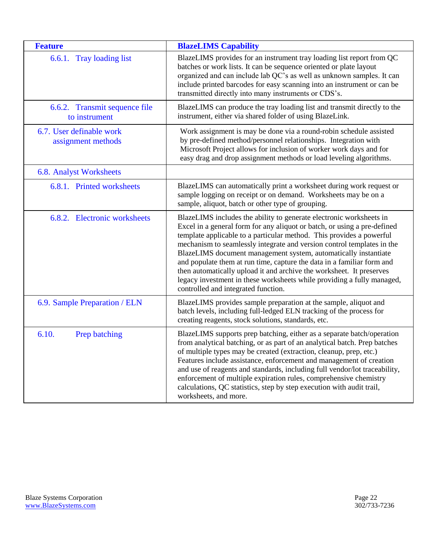<span id="page-21-3"></span><span id="page-21-2"></span><span id="page-21-1"></span><span id="page-21-0"></span>

| <b>Feature</b>                                 | <b>BlazeLIMS Capability</b>                                                                                                                                                                                                                                                                                                                                                                                                                                                                                                                                                                                                             |
|------------------------------------------------|-----------------------------------------------------------------------------------------------------------------------------------------------------------------------------------------------------------------------------------------------------------------------------------------------------------------------------------------------------------------------------------------------------------------------------------------------------------------------------------------------------------------------------------------------------------------------------------------------------------------------------------------|
| 6.6.1. Tray loading list                       | BlazeLIMS provides for an instrument tray loading list report from QC<br>batches or work lists. It can be sequence oriented or plate layout<br>organized and can include lab QC's as well as unknown samples. It can<br>include printed barcodes for easy scanning into an instrument or can be<br>transmitted directly into many instruments or CDS's.                                                                                                                                                                                                                                                                                 |
| 6.6.2. Transmit sequence file<br>to instrument | BlazeLIMS can produce the tray loading list and transmit directly to the<br>instrument, either via shared folder of using BlazeLink.                                                                                                                                                                                                                                                                                                                                                                                                                                                                                                    |
| 6.7. User definable work<br>assignment methods | Work assignment is may be done via a round-robin schedule assisted<br>by pre-defined method/personnel relationships. Integration with<br>Microsoft Project allows for inclusion of worker work days and for<br>easy drag and drop assignment methods or load leveling algorithms.                                                                                                                                                                                                                                                                                                                                                       |
| 6.8. Analyst Worksheets                        |                                                                                                                                                                                                                                                                                                                                                                                                                                                                                                                                                                                                                                         |
| 6.8.1. Printed worksheets                      | BlazeLIMS can automatically print a worksheet during work request or<br>sample logging on receipt or on demand. Worksheets may be on a<br>sample, aliquot, batch or other type of grouping.                                                                                                                                                                                                                                                                                                                                                                                                                                             |
| 6.8.2. Electronic worksheets                   | BlazeLIMS includes the ability to generate electronic worksheets in<br>Excel in a general form for any aliquot or batch, or using a pre-defined<br>template applicable to a particular method. This provides a powerful<br>mechanism to seamlessly integrate and version control templates in the<br>BlazeLIMS document management system, automatically instantiate<br>and populate them at run time, capture the data in a familiar form and<br>then automatically upload it and archive the worksheet. It preserves<br>legacy investment in these worksheets while providing a fully managed,<br>controlled and integrated function. |
| 6.9. Sample Preparation / ELN                  | BlazeLIMS provides sample preparation at the sample, aliquot and<br>batch levels, including full-ledged ELN tracking of the process for<br>creating reagents, stock solutions, standards, etc.                                                                                                                                                                                                                                                                                                                                                                                                                                          |
| 6.10.<br>Prep batching                         | BlazeLIMS supports prep batching, either as a separate batch/operation<br>from analytical batching, or as part of an analytical batch. Prep batches<br>of multiple types may be created (extraction, cleanup, prep, etc.)<br>Features include assistance, enforcement and management of creation<br>and use of reagents and standards, including full vendor/lot traceability,<br>enforcement of multiple expiration rules, comprehensive chemistry<br>calculations, QC statistics, step by step execution with audit trail,<br>worksheets, and more.                                                                                   |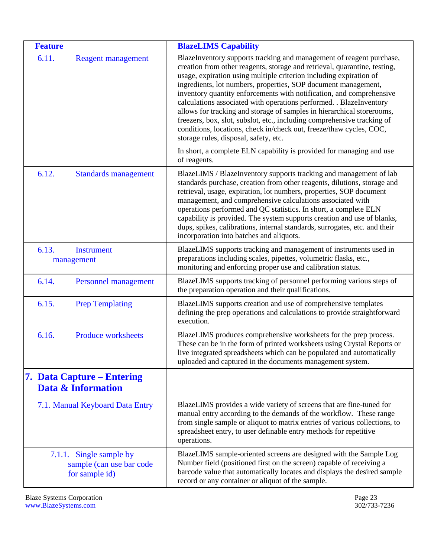<span id="page-22-7"></span><span id="page-22-6"></span><span id="page-22-5"></span><span id="page-22-4"></span><span id="page-22-3"></span><span id="page-22-2"></span><span id="page-22-1"></span><span id="page-22-0"></span>

| <b>Feature</b>                                                        | <b>BlazeLIMS Capability</b>                                                                                                                                                                                                                                                                                                                                                                                                                                                                                                                                                                                                                                                                                   |
|-----------------------------------------------------------------------|---------------------------------------------------------------------------------------------------------------------------------------------------------------------------------------------------------------------------------------------------------------------------------------------------------------------------------------------------------------------------------------------------------------------------------------------------------------------------------------------------------------------------------------------------------------------------------------------------------------------------------------------------------------------------------------------------------------|
| 6.11.<br><b>Reagent management</b>                                    | BlazeInventory supports tracking and management of reagent purchase,<br>creation from other reagents, storage and retrieval, quarantine, testing,<br>usage, expiration using multiple criterion including expiration of<br>ingredients, lot numbers, properties, SOP document management,<br>inventory quantity enforcements with notification, and comprehensive<br>calculations associated with operations performed. . BlazeInventory<br>allows for tracking and storage of samples in hierarchical storerooms,<br>freezers, box, slot, subslot, etc., including comprehensive tracking of<br>conditions, locations, check in/check out, freeze/thaw cycles, COC,<br>storage rules, disposal, safety, etc. |
|                                                                       | In short, a complete ELN capability is provided for managing and use<br>of reagents.                                                                                                                                                                                                                                                                                                                                                                                                                                                                                                                                                                                                                          |
| 6.12.<br><b>Standards management</b>                                  | BlazeLIMS / BlazeInventory supports tracking and management of lab<br>standards purchase, creation from other reagents, dilutions, storage and<br>retrieval, usage, expiration, lot numbers, properties, SOP document<br>management, and comprehensive calculations associated with<br>operations performed and QC statistics. In short, a complete ELN<br>capability is provided. The system supports creation and use of blanks,<br>dups, spikes, calibrations, internal standards, surrogates, etc. and their<br>incorporation into batches and aliquots.                                                                                                                                                  |
| 6.13.<br><b>Instrument</b><br>management                              | BlazeLIMS supports tracking and management of instruments used in<br>preparations including scales, pipettes, volumetric flasks, etc.,<br>monitoring and enforcing proper use and calibration status.                                                                                                                                                                                                                                                                                                                                                                                                                                                                                                         |
| 6.14.<br><b>Personnel management</b>                                  | BlazeLIMS supports tracking of personnel performing various steps of<br>the preparation operation and their qualifications.                                                                                                                                                                                                                                                                                                                                                                                                                                                                                                                                                                                   |
| 6.15.<br><b>Prep Templating</b>                                       | BlazeLIMS supports creation and use of comprehensive templates<br>defining the prep operations and calculations to provide straightforward<br>execution.                                                                                                                                                                                                                                                                                                                                                                                                                                                                                                                                                      |
| 6.16.<br><b>Produce worksheets</b>                                    | BlazeLIMS produces comprehensive worksheets for the prep process.<br>These can be in the form of printed worksheets using Crystal Reports or<br>live integrated spreadsheets which can be populated and automatically<br>uploaded and captured in the documents management system.                                                                                                                                                                                                                                                                                                                                                                                                                            |
| 7. Data Capture – Entering<br>Data & Information                      |                                                                                                                                                                                                                                                                                                                                                                                                                                                                                                                                                                                                                                                                                                               |
| 7.1. Manual Keyboard Data Entry                                       | BlazeLIMS provides a wide variety of screens that are fine-tuned for<br>manual entry according to the demands of the workflow. These range<br>from single sample or aliquot to matrix entries of various collections, to<br>spreadsheet entry, to user definable entry methods for repetitive<br>operations.                                                                                                                                                                                                                                                                                                                                                                                                  |
| 7.1.1. Single sample by<br>sample (can use bar code<br>for sample id) | BlazeLIMS sample-oriented screens are designed with the Sample Log<br>Number field (positioned first on the screen) capable of receiving a<br>barcode value that automatically locates and displays the desired sample<br>record or any container or aliquot of the sample.                                                                                                                                                                                                                                                                                                                                                                                                                                   |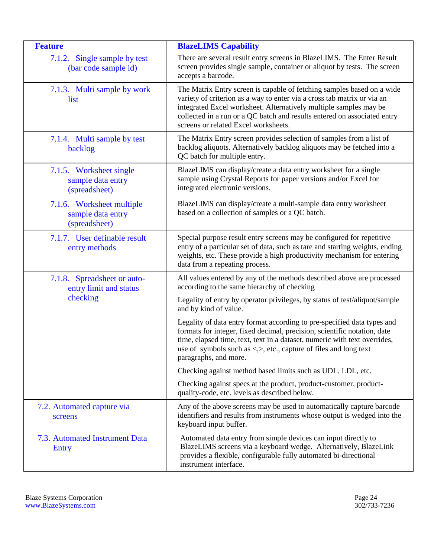<span id="page-23-1"></span><span id="page-23-0"></span>

| <b>Feature</b>                                                  | <b>BlazeLIMS Capability</b>                                                                                                                                                                                                                                                                                                                  |
|-----------------------------------------------------------------|----------------------------------------------------------------------------------------------------------------------------------------------------------------------------------------------------------------------------------------------------------------------------------------------------------------------------------------------|
| 7.1.2. Single sample by test<br>(bar code sample id)            | There are several result entry screens in BlazeLIMS. The Enter Result<br>screen provides single sample, container or aliquot by tests. The screen<br>accepts a barcode.                                                                                                                                                                      |
| 7.1.3. Multi sample by work<br>list                             | The Matrix Entry screen is capable of fetching samples based on a wide<br>variety of criterion as a way to enter via a cross tab matrix or via an<br>integrated Excel worksheet. Alternatively multiple samples may be<br>collected in a run or a QC batch and results entered on associated entry<br>screens or related Excel worksheets.   |
| 7.1.4. Multi sample by test<br>backlog                          | The Matrix Entry screen provides selection of samples from a list of<br>backlog aliquots. Alternatively backlog aliquots may be fetched into a<br>QC batch for multiple entry.                                                                                                                                                               |
| 7.1.5. Worksheet single<br>sample data entry<br>(spreadsheet)   | BlazeLIMS can display/create a data entry worksheet for a single<br>sample using Crystal Reports for paper versions and/or Excel for<br>integrated electronic versions.                                                                                                                                                                      |
| 7.1.6. Worksheet multiple<br>sample data entry<br>(spreadsheet) | BlazeLIMS can display/create a multi-sample data entry worksheet<br>based on a collection of samples or a QC batch.                                                                                                                                                                                                                          |
| 7.1.7. User definable result<br>entry methods                   | Special purpose result entry screens may be configured for repetitive<br>entry of a particular set of data, such as tare and starting weights, ending<br>weights, etc. These provide a high productivity mechanism for entering<br>data from a repeating process.                                                                            |
| 7.1.8. Spreadsheet or auto-<br>entry limit and status           | All values entered by any of the methods described above are processed<br>according to the same hierarchy of checking                                                                                                                                                                                                                        |
| checking                                                        | Legality of entry by operator privileges, by status of test/aliquot/sample<br>and by kind of value.                                                                                                                                                                                                                                          |
|                                                                 | Legality of data entry format according to pre-specified data types and<br>formats for integer, fixed decimal, precision, scientific notation, date<br>time, elapsed time, text, text in a dataset, numeric with text overrides,<br>use of symbols such as $\langle \rangle$ , etc., capture of files and long text<br>paragraphs, and more. |
|                                                                 | Checking against method based limits such as UDL, LDL, etc.                                                                                                                                                                                                                                                                                  |
|                                                                 | Checking against specs at the product, product-customer, product-<br>quality-code, etc. levels as described below.                                                                                                                                                                                                                           |
| 7.2. Automated capture via<br>screens                           | Any of the above screens may be used to automatically capture barcode<br>identifiers and results from instruments whose output is wedged into the<br>keyboard input buffer.                                                                                                                                                                  |
| 7.3. Automated Instrument Data<br><b>Entry</b>                  | Automated data entry from simple devices can input directly to<br>BlazeLIMS screens via a keyboard wedge. Alternatively, BlazeLink<br>provides a flexible, configurable fully automated bi-directional<br>instrument interface.                                                                                                              |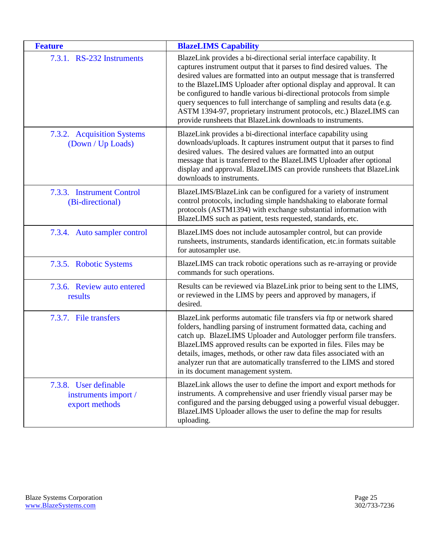| <b>Feature</b>                                                  | <b>BlazeLIMS Capability</b>                                                                                                                                                                                                                                                                                                                                                                                                                                                                                                                                                             |
|-----------------------------------------------------------------|-----------------------------------------------------------------------------------------------------------------------------------------------------------------------------------------------------------------------------------------------------------------------------------------------------------------------------------------------------------------------------------------------------------------------------------------------------------------------------------------------------------------------------------------------------------------------------------------|
| 7.3.1. RS-232 Instruments                                       | BlazeLink provides a bi-directional serial interface capability. It<br>captures instrument output that it parses to find desired values. The<br>desired values are formatted into an output message that is transferred<br>to the BlazeLIMS Uploader after optional display and approval. It can<br>be configured to handle various bi-directional protocols from simple<br>query sequences to full interchange of sampling and results data (e.g.<br>ASTM 1394-97, proprietary instrument protocols, etc.) BlazeLIMS can<br>provide runsheets that BlazeLink downloads to instruments. |
| 7.3.2. Acquisition Systems<br>(Down / Up Loads)                 | BlazeLink provides a bi-directional interface capability using<br>downloads/uploads. It captures instrument output that it parses to find<br>desired values. The desired values are formatted into an output<br>message that is transferred to the BlazeLIMS Uploader after optional<br>display and approval. BlazeLIMS can provide runsheets that BlazeLink<br>downloads to instruments.                                                                                                                                                                                               |
| 7.3.3. Instrument Control<br>(Bi-directional)                   | BlazeLIMS/BlazeLink can be configured for a variety of instrument<br>control protocols, including simple handshaking to elaborate formal<br>protocols (ASTM1394) with exchange substantial information with<br>BlazeLIMS such as patient, tests requested, standards, etc.                                                                                                                                                                                                                                                                                                              |
| 7.3.4. Auto sampler control                                     | BlazeLIMS does not include autosampler control, but can provide<br>runsheets, instruments, standards identification, etc.in formats suitable<br>for autosampler use.                                                                                                                                                                                                                                                                                                                                                                                                                    |
| 7.3.5. Robotic Systems                                          | BlazeLIMS can track robotic operations such as re-arraying or provide<br>commands for such operations.                                                                                                                                                                                                                                                                                                                                                                                                                                                                                  |
| 7.3.6. Review auto entered<br>results                           | Results can be reviewed via BlazeLink prior to being sent to the LIMS,<br>or reviewed in the LIMS by peers and approved by managers, if<br>desired.                                                                                                                                                                                                                                                                                                                                                                                                                                     |
| 7.3.7. File transfers                                           | BlazeLink performs automatic file transfers via ftp or network shared<br>folders, handling parsing of instrument formatted data, caching and<br>catch up. BlazeLIMS Uploader and Autologger perform file transfers.<br>BlazeLIMS approved results can be exported in files. Files may be<br>details, images, methods, or other raw data files associated with an<br>analyzer run that are automatically transferred to the LIMS and stored<br>in its document management system.                                                                                                        |
| 7.3.8. User definable<br>instruments import /<br>export methods | BlazeLink allows the user to define the import and export methods for<br>instruments. A comprehensive and user friendly visual parser may be<br>configured and the parsing debugged using a powerful visual debugger.<br>BlazeLIMS Uploader allows the user to define the map for results<br>uploading.                                                                                                                                                                                                                                                                                 |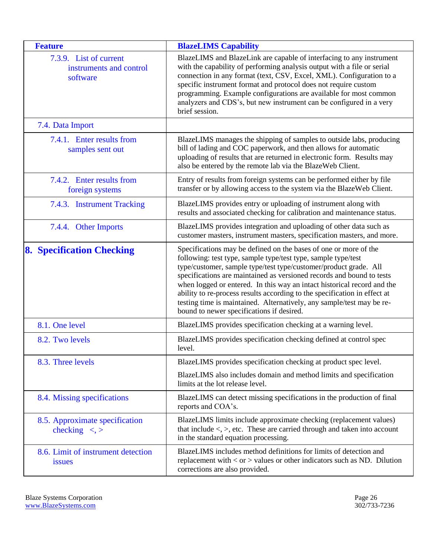<span id="page-25-7"></span><span id="page-25-6"></span><span id="page-25-5"></span><span id="page-25-4"></span><span id="page-25-3"></span><span id="page-25-2"></span><span id="page-25-1"></span><span id="page-25-0"></span>

| <b>Feature</b>                                                | <b>BlazeLIMS Capability</b>                                                                                                                                                                                                                                                                                                                                                                                                                                                                                                                                  |
|---------------------------------------------------------------|--------------------------------------------------------------------------------------------------------------------------------------------------------------------------------------------------------------------------------------------------------------------------------------------------------------------------------------------------------------------------------------------------------------------------------------------------------------------------------------------------------------------------------------------------------------|
| 7.3.9. List of current<br>instruments and control<br>software | BlazeLIMS and BlazeLink are capable of interfacing to any instrument<br>with the capability of performing analysis output with a file or serial<br>connection in any format (text, CSV, Excel, XML). Configuration to a<br>specific instrument format and protocol does not require custom<br>programming. Example configurations are available for most common<br>analyzers and CDS's, but new instrument can be configured in a very<br>brief session.                                                                                                     |
| 7.4. Data Import                                              |                                                                                                                                                                                                                                                                                                                                                                                                                                                                                                                                                              |
| 7.4.1. Enter results from<br>samples sent out                 | BlazeLIMS manages the shipping of samples to outside labs, producing<br>bill of lading and COC paperwork, and then allows for automatic<br>uploading of results that are returned in electronic form. Results may<br>also be entered by the remote lab via the BlazeWeb Client.                                                                                                                                                                                                                                                                              |
| 7.4.2. Enter results from<br>foreign systems                  | Entry of results from foreign systems can be performed either by file<br>transfer or by allowing access to the system via the BlazeWeb Client.                                                                                                                                                                                                                                                                                                                                                                                                               |
| 7.4.3. Instrument Tracking                                    | BlazeLIMS provides entry or uploading of instrument along with<br>results and associated checking for calibration and maintenance status.                                                                                                                                                                                                                                                                                                                                                                                                                    |
| 7.4.4. Other Imports                                          | BlazeLIMS provides integration and uploading of other data such as<br>customer masters, instrument masters, specification masters, and more.                                                                                                                                                                                                                                                                                                                                                                                                                 |
| <b>8. Specification Checking</b>                              | Specifications may be defined on the bases of one or more of the<br>following: test type, sample type/test type, sample type/test<br>type/customer, sample type/test type/customer/product grade. All<br>specifications are maintained as versioned records and bound to tests<br>when logged or entered. In this way an intact historical record and the<br>ability to re-process results according to the specification in effect at<br>testing time is maintained. Alternatively, any sample/test may be re-<br>bound to newer specifications if desired. |
| 8.1. One level                                                | BlazeLIMS provides specification checking at a warning level.                                                                                                                                                                                                                                                                                                                                                                                                                                                                                                |
| 8.2. Two levels                                               | BlazeLIMS provides specification checking defined at control spec<br>level.                                                                                                                                                                                                                                                                                                                                                                                                                                                                                  |
| 8.3. Three levels                                             | BlazeLIMS provides specification checking at product spec level.                                                                                                                                                                                                                                                                                                                                                                                                                                                                                             |
|                                                               | BlazeLIMS also includes domain and method limits and specification<br>limits at the lot release level.                                                                                                                                                                                                                                                                                                                                                                                                                                                       |
| 8.4. Missing specifications                                   | BlazeLIMS can detect missing specifications in the production of final<br>reports and COA's.                                                                                                                                                                                                                                                                                                                                                                                                                                                                 |
| 8.5. Approximate specification<br>checking $\lt$ , >          | BlazeLIMS limits include approximate checking (replacement values)<br>that include $\langle \rangle$ , etc. These are carried through and taken into account<br>in the standard equation processing.                                                                                                                                                                                                                                                                                                                                                         |
| 8.6. Limit of instrument detection<br>issues                  | BlazeLIMS includes method definitions for limits of detection and<br>replacement with $<$ or $>$ values or other indicators such as ND. Dilution<br>corrections are also provided.                                                                                                                                                                                                                                                                                                                                                                           |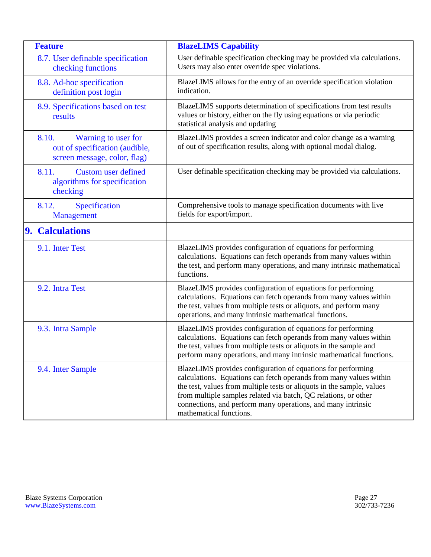<span id="page-26-10"></span><span id="page-26-9"></span><span id="page-26-8"></span><span id="page-26-7"></span><span id="page-26-6"></span><span id="page-26-5"></span><span id="page-26-4"></span><span id="page-26-3"></span><span id="page-26-2"></span><span id="page-26-1"></span><span id="page-26-0"></span>

| <b>Feature</b>                                                                                 | <b>BlazeLIMS Capability</b>                                                                                                                                                                                                                                                                                                                                                |
|------------------------------------------------------------------------------------------------|----------------------------------------------------------------------------------------------------------------------------------------------------------------------------------------------------------------------------------------------------------------------------------------------------------------------------------------------------------------------------|
| 8.7. User definable specification<br>checking functions                                        | User definable specification checking may be provided via calculations.<br>Users may also enter override spec violations.                                                                                                                                                                                                                                                  |
| 8.8. Ad-hoc specification<br>definition post login                                             | BlazeLIMS allows for the entry of an override specification violation<br>indication.                                                                                                                                                                                                                                                                                       |
| 8.9. Specifications based on test<br>results                                                   | BlazeLIMS supports determination of specifications from test results<br>values or history, either on the fly using equations or via periodic<br>statistical analysis and updating                                                                                                                                                                                          |
| 8.10.<br>Warning to user for<br>out of specification (audible,<br>screen message, color, flag) | BlazeLIMS provides a screen indicator and color change as a warning<br>of out of specification results, along with optional modal dialog.                                                                                                                                                                                                                                  |
| 8.11.<br><b>Custom user defined</b><br>algorithms for specification<br>checking                | User definable specification checking may be provided via calculations.                                                                                                                                                                                                                                                                                                    |
| Specification<br>8.12.<br>Management                                                           | Comprehensive tools to manage specification documents with live<br>fields for export/import.                                                                                                                                                                                                                                                                               |
| 9. Calculations                                                                                |                                                                                                                                                                                                                                                                                                                                                                            |
| 9.1. Inter Test                                                                                | BlazeLIMS provides configuration of equations for performing<br>calculations. Equations can fetch operands from many values within<br>the test, and perform many operations, and many intrinsic mathematical<br>functions.                                                                                                                                                 |
| 9.2. Intra Test                                                                                | BlazeLIMS provides configuration of equations for performing<br>calculations. Equations can fetch operands from many values within<br>the test, values from multiple tests or aliquots, and perform many<br>operations, and many intrinsic mathematical functions.                                                                                                         |
| 9.3. Intra Sample                                                                              | BlazeLIMS provides configuration of equations for performing<br>calculations. Equations can fetch operands from many values within<br>the test, values from multiple tests or aliquots in the sample and<br>perform many operations, and many intrinsic mathematical functions.                                                                                            |
| 9.4. Inter Sample                                                                              | BlazeLIMS provides configuration of equations for performing<br>calculations. Equations can fetch operands from many values within<br>the test, values from multiple tests or aliquots in the sample, values<br>from multiple samples related via batch, QC relations, or other<br>connections, and perform many operations, and many intrinsic<br>mathematical functions. |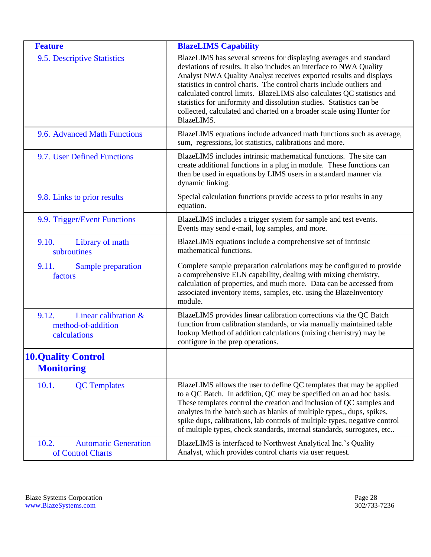<span id="page-27-10"></span><span id="page-27-9"></span><span id="page-27-8"></span><span id="page-27-7"></span><span id="page-27-6"></span><span id="page-27-5"></span><span id="page-27-4"></span><span id="page-27-3"></span><span id="page-27-2"></span><span id="page-27-1"></span><span id="page-27-0"></span>

| <b>Feature</b>                                                      | <b>BlazeLIMS Capability</b>                                                                                                                                                                                                                                                                                                                                                                                                                                                                                                       |
|---------------------------------------------------------------------|-----------------------------------------------------------------------------------------------------------------------------------------------------------------------------------------------------------------------------------------------------------------------------------------------------------------------------------------------------------------------------------------------------------------------------------------------------------------------------------------------------------------------------------|
| 9.5. Descriptive Statistics                                         | BlazeLIMS has several screens for displaying averages and standard<br>deviations of results. It also includes an interface to NWA Quality<br>Analyst NWA Quality Analyst receives exported results and displays<br>statistics in control charts. The control charts include outliers and<br>calculated control limits. BlazeLIMS also calculates QC statistics and<br>statistics for uniformity and dissolution studies. Statistics can be<br>collected, calculated and charted on a broader scale using Hunter for<br>BlazeLIMS. |
| 9.6. Advanced Math Functions                                        | BlazeLIMS equations include advanced math functions such as average,<br>sum, regressions, lot statistics, calibrations and more.                                                                                                                                                                                                                                                                                                                                                                                                  |
| 9.7. User Defined Functions                                         | BlazeLIMS includes intrinsic mathematical functions. The site can<br>create additional functions in a plug in module. These functions can<br>then be used in equations by LIMS users in a standard manner via<br>dynamic linking.                                                                                                                                                                                                                                                                                                 |
| 9.8. Links to prior results                                         | Special calculation functions provide access to prior results in any<br>equation.                                                                                                                                                                                                                                                                                                                                                                                                                                                 |
| 9.9. Trigger/Event Functions                                        | BlazeLIMS includes a trigger system for sample and test events.<br>Events may send e-mail, log samples, and more.                                                                                                                                                                                                                                                                                                                                                                                                                 |
| 9.10.<br>Library of math<br>subroutines                             | BlazeLIMS equations include a comprehensive set of intrinsic<br>mathematical functions.                                                                                                                                                                                                                                                                                                                                                                                                                                           |
| 9.11.<br>Sample preparation<br>factors                              | Complete sample preparation calculations may be configured to provide<br>a comprehensive ELN capability, dealing with mixing chemistry,<br>calculation of properties, and much more. Data can be accessed from<br>associated inventory items, samples, etc. using the BlazeInventory<br>module.                                                                                                                                                                                                                                   |
| Linear calibration &<br>9.12.<br>method-of-addition<br>calculations | BlazeLIMS provides linear calibration corrections via the QC Batch<br>function from calibration standards, or via manually maintained table<br>lookup Method of addition calculations (mixing chemistry) may be<br>configure in the prep operations.                                                                                                                                                                                                                                                                              |
| <b>10.Quality Control</b><br><b>Monitoring</b>                      |                                                                                                                                                                                                                                                                                                                                                                                                                                                                                                                                   |
| 10.1.<br><b>QC</b> Templates                                        | BlazeLIMS allows the user to define QC templates that may be applied<br>to a QC Batch. In addition, QC may be specified on an ad hoc basis.<br>These templates control the creation and inclusion of QC samples and<br>analytes in the batch such as blanks of multiple types,, dups, spikes,<br>spike dups, calibrations, lab controls of multiple types, negative control<br>of multiple types, check standards, internal standards, surrogates, etc                                                                            |
| 10.2.<br><b>Automatic Generation</b><br>of Control Charts           | BlazeLIMS is interfaced to Northwest Analytical Inc.'s Quality<br>Analyst, which provides control charts via user request.                                                                                                                                                                                                                                                                                                                                                                                                        |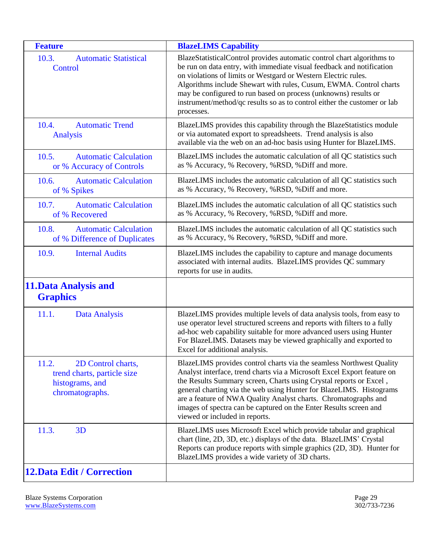<span id="page-28-11"></span><span id="page-28-10"></span><span id="page-28-9"></span><span id="page-28-8"></span><span id="page-28-7"></span><span id="page-28-6"></span><span id="page-28-5"></span><span id="page-28-4"></span><span id="page-28-3"></span><span id="page-28-2"></span><span id="page-28-1"></span><span id="page-28-0"></span>

| <b>Feature</b>                                                                                   | <b>BlazeLIMS Capability</b>                                                                                                                                                                                                                                                                                                                                                                                                                                            |
|--------------------------------------------------------------------------------------------------|------------------------------------------------------------------------------------------------------------------------------------------------------------------------------------------------------------------------------------------------------------------------------------------------------------------------------------------------------------------------------------------------------------------------------------------------------------------------|
| 10.3.<br><b>Automatic Statistical</b><br><b>Control</b>                                          | BlazeStatisticalControl provides automatic control chart algorithms to<br>be run on data entry, with immediate visual feedback and notification<br>on violations of limits or Westgard or Western Electric rules.<br>Algorithms include Shewart with rules, Cusum, EWMA. Control charts<br>may be configured to run based on process (unknowns) results or<br>instrument/method/qc results so as to control either the customer or lab<br>processes.                   |
| <b>Automatic Trend</b><br>10.4.<br><b>Analysis</b>                                               | BlazeLIMS provides this capability through the BlazeStatistics module<br>or via automated export to spreadsheets. Trend analysis is also<br>available via the web on an ad-hoc basis using Hunter for BlazeLIMS.                                                                                                                                                                                                                                                       |
| 10.5.<br><b>Automatic Calculation</b><br>or % Accuracy of Controls                               | BlazeLIMS includes the automatic calculation of all QC statistics such<br>as % Accuracy, % Recovery, %RSD, %Diff and more.                                                                                                                                                                                                                                                                                                                                             |
| 10.6.<br><b>Automatic Calculation</b><br>of % Spikes                                             | BlazeLIMS includes the automatic calculation of all QC statistics such<br>as % Accuracy, % Recovery, %RSD, %Diff and more.                                                                                                                                                                                                                                                                                                                                             |
| 10.7.<br><b>Automatic Calculation</b><br>of % Recovered                                          | BlazeLIMS includes the automatic calculation of all QC statistics such<br>as % Accuracy, % Recovery, %RSD, %Diff and more.                                                                                                                                                                                                                                                                                                                                             |
| 10.8.<br><b>Automatic Calculation</b><br>of % Difference of Duplicates                           | BlazeLIMS includes the automatic calculation of all QC statistics such<br>as % Accuracy, % Recovery, %RSD, %Diff and more.                                                                                                                                                                                                                                                                                                                                             |
| 10.9.<br><b>Internal Audits</b>                                                                  | BlazeLIMS includes the capability to capture and manage documents<br>associated with internal audits. BlazeLIMS provides QC summary<br>reports for use in audits.                                                                                                                                                                                                                                                                                                      |
| <b>11. Data Analysis and</b><br><b>Graphics</b>                                                  |                                                                                                                                                                                                                                                                                                                                                                                                                                                                        |
| 11.1.<br><b>Data Analysis</b>                                                                    | BlazeLIMS provides multiple levels of data analysis tools, from easy to<br>use operator level structured screens and reports with filters to a fully<br>ad-hoc web capability suitable for more advanced users using Hunter<br>For BlazeLIMS. Datasets may be viewed graphically and exported to<br>Excel for additional analysis.                                                                                                                                     |
| 11.2.<br>2D Control charts,<br>trend charts, particle size<br>histograms, and<br>chromatographs. | BlazeLIMS provides control charts via the seamless Northwest Quality<br>Analyst interface, trend charts via a Microsoft Excel Export feature on<br>the Results Summary screen, Charts using Crystal reports or Excel,<br>general charting via the web using Hunter for BlazeLIMS. Histograms<br>are a feature of NWA Quality Analyst charts. Chromatographs and<br>images of spectra can be captured on the Enter Results screen and<br>viewed or included in reports. |
| 11.3.<br>3D                                                                                      | BlazeLIMS uses Microsoft Excel which provide tabular and graphical<br>chart (line, 2D, 3D, etc.) displays of the data. BlazeLIMS' Crystal<br>Reports can produce reports with simple graphics (2D, 3D). Hunter for<br>BlazeLIMS provides a wide variety of 3D charts.                                                                                                                                                                                                  |
| <b>12. Data Edit / Correction</b>                                                                |                                                                                                                                                                                                                                                                                                                                                                                                                                                                        |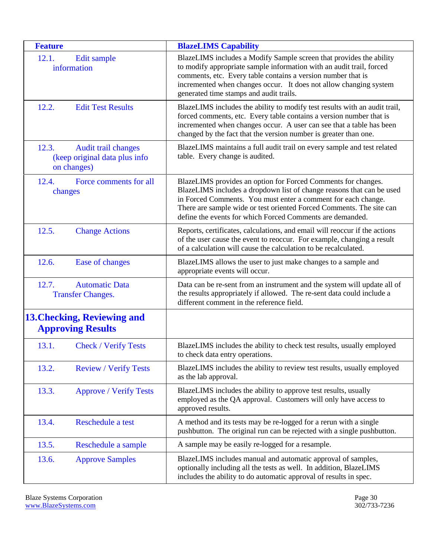<span id="page-29-13"></span><span id="page-29-12"></span><span id="page-29-11"></span><span id="page-29-10"></span><span id="page-29-9"></span><span id="page-29-8"></span><span id="page-29-7"></span><span id="page-29-6"></span><span id="page-29-5"></span><span id="page-29-4"></span><span id="page-29-3"></span><span id="page-29-2"></span><span id="page-29-1"></span><span id="page-29-0"></span>

| <b>Feature</b>                                                               | <b>BlazeLIMS Capability</b>                                                                                                                                                                                                                                                                                                                  |
|------------------------------------------------------------------------------|----------------------------------------------------------------------------------------------------------------------------------------------------------------------------------------------------------------------------------------------------------------------------------------------------------------------------------------------|
| 12.1.<br>Edit sample<br>information                                          | BlazeLIMS includes a Modify Sample screen that provides the ability<br>to modify appropriate sample information with an audit trail, forced<br>comments, etc. Every table contains a version number that is<br>incremented when changes occur. It does not allow changing system<br>generated time stamps and audit trails.                  |
| 12.2.<br><b>Edit Test Results</b>                                            | BlazeLIMS includes the ability to modify test results with an audit trail,<br>forced comments, etc. Every table contains a version number that is<br>incremented when changes occur. A user can see that a table has been<br>changed by the fact that the version number is greater than one.                                                |
| 12.3.<br>Audit trail changes<br>(keep original data plus info<br>on changes) | BlazeLIMS maintains a full audit trail on every sample and test related<br>table. Every change is audited.                                                                                                                                                                                                                                   |
| 12.4.<br>Force comments for all<br>changes                                   | BlazeLIMS provides an option for Forced Comments for changes.<br>BlazeLIMS includes a dropdown list of change reasons that can be used<br>in Forced Comments. You must enter a comment for each change.<br>There are sample wide or test oriented Forced Comments. The site can<br>define the events for which Forced Comments are demanded. |
| 12.5.<br><b>Change Actions</b>                                               | Reports, certificates, calculations, and email will reoccur if the actions<br>of the user cause the event to reoccur. For example, changing a result<br>of a calculation will cause the calculation to be recalculated.                                                                                                                      |
| 12.6.<br>Ease of changes                                                     | BlazeLIMS allows the user to just make changes to a sample and<br>appropriate events will occur.                                                                                                                                                                                                                                             |
| 12.7.<br><b>Automatic Data</b><br><b>Transfer Changes.</b>                   | Data can be re-sent from an instrument and the system will update all of<br>the results appropriately if allowed. The re-sent data could include a<br>different comment in the reference field.                                                                                                                                              |
| <b>13. Checking, Reviewing and</b><br><b>Approving Results</b>               |                                                                                                                                                                                                                                                                                                                                              |
| 13.1.<br><b>Check / Verify Tests</b>                                         | BlazeLIMS includes the ability to check test results, usually employed<br>to check data entry operations.                                                                                                                                                                                                                                    |
| 13.2.<br><b>Review / Verify Tests</b>                                        | BlazeLIMS includes the ability to review test results, usually employed<br>as the lab approval.                                                                                                                                                                                                                                              |
| <b>Approve / Verify Tests</b><br>13.3.                                       | BlazeLIMS includes the ability to approve test results, usually<br>employed as the QA approval. Customers will only have access to<br>approved results.                                                                                                                                                                                      |
| 13.4.<br>Reschedule a test                                                   | A method and its tests may be re-logged for a rerun with a single<br>pushbutton. The original run can be rejected with a single pushbutton.                                                                                                                                                                                                  |
| 13.5.<br>Reschedule a sample                                                 | A sample may be easily re-logged for a resample.                                                                                                                                                                                                                                                                                             |
| 13.6.<br><b>Approve Samples</b>                                              | BlazeLIMS includes manual and automatic approval of samples,<br>optionally including all the tests as well. In addition, BlazeLIMS<br>includes the ability to do automatic approval of results in spec.                                                                                                                                      |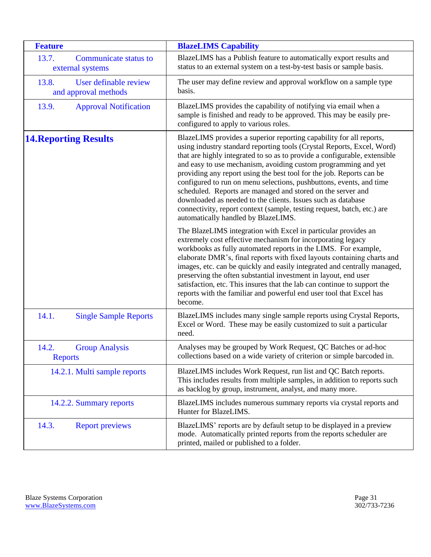<span id="page-30-6"></span><span id="page-30-5"></span><span id="page-30-4"></span><span id="page-30-3"></span><span id="page-30-2"></span><span id="page-30-1"></span><span id="page-30-0"></span>

| <b>Feature</b>                                         | <b>BlazeLIMS Capability</b>                                                                                                                                                                                                                                                                                                                                                                                                                                                                                                                                                                                                                                                                  |
|--------------------------------------------------------|----------------------------------------------------------------------------------------------------------------------------------------------------------------------------------------------------------------------------------------------------------------------------------------------------------------------------------------------------------------------------------------------------------------------------------------------------------------------------------------------------------------------------------------------------------------------------------------------------------------------------------------------------------------------------------------------|
| 13.7.<br>Communicate status to<br>external systems     | BlazeLIMS has a Publish feature to automatically export results and<br>status to an external system on a test-by-test basis or sample basis.                                                                                                                                                                                                                                                                                                                                                                                                                                                                                                                                                 |
| 13.8.<br>User definable review<br>and approval methods | The user may define review and approval workflow on a sample type<br>basis.                                                                                                                                                                                                                                                                                                                                                                                                                                                                                                                                                                                                                  |
| 13.9.<br><b>Approval Notification</b>                  | BlazeLIMS provides the capability of notifying via email when a<br>sample is finished and ready to be approved. This may be easily pre-<br>configured to apply to various roles.                                                                                                                                                                                                                                                                                                                                                                                                                                                                                                             |
| <b>14. Reporting Results</b>                           | BlazeLIMS provides a superior reporting capability for all reports,<br>using industry standard reporting tools (Crystal Reports, Excel, Word)<br>that are highly integrated to so as to provide a configurable, extensible<br>and easy to use mechanism, avoiding custom programming and yet<br>providing any report using the best tool for the job. Reports can be<br>configured to run on menu selections, pushbuttons, events, and time<br>scheduled. Reports are managed and stored on the server and<br>downloaded as needed to the clients. Issues such as database<br>connectivity, report context (sample, testing request, batch, etc.) are<br>automatically handled by BlazeLIMS. |
|                                                        | The BlazeLIMS integration with Excel in particular provides an<br>extremely cost effective mechanism for incorporating legacy<br>workbooks as fully automated reports in the LIMS. For example,<br>elaborate DMR's, final reports with fixed layouts containing charts and<br>images, etc. can be quickly and easily integrated and centrally managed,<br>preserving the often substantial investment in layout, end user<br>satisfaction, etc. This insures that the lab can continue to support the<br>reports with the familiar and powerful end user tool that Excel has<br>become.                                                                                                      |
| 14.1.<br><b>Single Sample Reports</b>                  | BlazeLIMS includes many single sample reports using Crystal Reports,<br>Excel or Word. These may be easily customized to suit a particular<br>need.                                                                                                                                                                                                                                                                                                                                                                                                                                                                                                                                          |
| 14.2.<br><b>Group Analysis</b><br><b>Reports</b>       | Analyses may be grouped by Work Request, QC Batches or ad-hoc<br>collections based on a wide variety of criterion or simple barcoded in.                                                                                                                                                                                                                                                                                                                                                                                                                                                                                                                                                     |
| 14.2.1. Multi sample reports                           | BlazeLIMS includes Work Request, run list and QC Batch reports.<br>This includes results from multiple samples, in addition to reports such<br>as backlog by group, instrument, analyst, and many more.                                                                                                                                                                                                                                                                                                                                                                                                                                                                                      |
| 14.2.2. Summary reports                                | BlazeLIMS includes numerous summary reports via crystal reports and<br>Hunter for BlazeLIMS.                                                                                                                                                                                                                                                                                                                                                                                                                                                                                                                                                                                                 |
| 14.3.<br><b>Report previews</b>                        | BlazeLIMS' reports are by default setup to be displayed in a preview<br>mode. Automatically printed reports from the reports scheduler are<br>printed, mailed or published to a folder.                                                                                                                                                                                                                                                                                                                                                                                                                                                                                                      |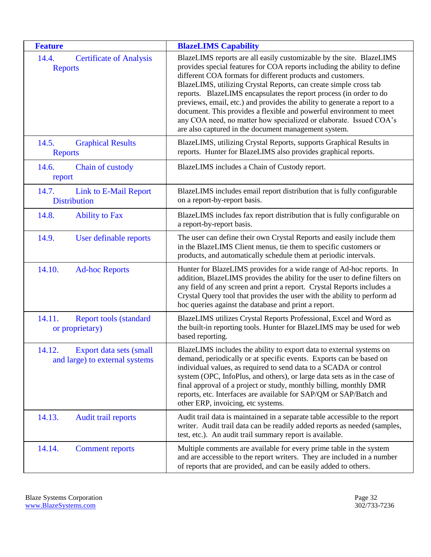<span id="page-31-10"></span><span id="page-31-9"></span><span id="page-31-8"></span><span id="page-31-7"></span><span id="page-31-6"></span><span id="page-31-5"></span><span id="page-31-4"></span><span id="page-31-3"></span><span id="page-31-2"></span><span id="page-31-1"></span><span id="page-31-0"></span>

| <b>Feature</b>                                                      | <b>BlazeLIMS Capability</b>                                                                                                                                                                                                                                                                                                                                                                                                                                                                                                                                                                                                                   |
|---------------------------------------------------------------------|-----------------------------------------------------------------------------------------------------------------------------------------------------------------------------------------------------------------------------------------------------------------------------------------------------------------------------------------------------------------------------------------------------------------------------------------------------------------------------------------------------------------------------------------------------------------------------------------------------------------------------------------------|
| 14.4.<br><b>Certificate of Analysis</b><br><b>Reports</b>           | BlazeLIMS reports are all easily customizable by the site. BlazeLIMS<br>provides special features for COA reports including the ability to define<br>different COA formats for different products and customers.<br>BlazeLIMS, utilizing Crystal Reports, can create simple cross tab<br>reports. BlazeLIMS encapsulates the report process (in order to do<br>previews, email, etc.) and provides the ability to generate a report to a<br>document. This provides a flexible and powerful environment to meet<br>any COA need, no matter how specialized or elaborate. Issued COA's<br>are also captured in the document management system. |
| 14.5.<br><b>Graphical Results</b><br><b>Reports</b>                 | BlazeLIMS, utilizing Crystal Reports, supports Graphical Results in<br>reports. Hunter for BlazeLIMS also provides graphical reports.                                                                                                                                                                                                                                                                                                                                                                                                                                                                                                         |
| Chain of custody<br>14.6.<br>report                                 | BlazeLIMS includes a Chain of Custody report.                                                                                                                                                                                                                                                                                                                                                                                                                                                                                                                                                                                                 |
| 14.7.<br>Link to E-Mail Report<br><b>Distribution</b>               | BlazeLIMS includes email report distribution that is fully configurable<br>on a report-by-report basis.                                                                                                                                                                                                                                                                                                                                                                                                                                                                                                                                       |
| 14.8.<br><b>Ability to Fax</b>                                      | BlazeLIMS includes fax report distribution that is fully configurable on<br>a report-by-report basis.                                                                                                                                                                                                                                                                                                                                                                                                                                                                                                                                         |
| 14.9.<br>User definable reports                                     | The user can define their own Crystal Reports and easily include them<br>in the BlazeLIMS Client menus, tie them to specific customers or<br>products, and automatically schedule them at periodic intervals.                                                                                                                                                                                                                                                                                                                                                                                                                                 |
| 14.10.<br><b>Ad-hoc Reports</b>                                     | Hunter for BlazeLIMS provides for a wide range of Ad-hoc reports. In<br>addition, BlazeLIMS provides the ability for the user to define filters on<br>any field of any screen and print a report. Crystal Reports includes a<br>Crystal Query tool that provides the user with the ability to perform ad<br>hoc queries against the database and print a report.                                                                                                                                                                                                                                                                              |
| 14.11.<br><b>Report tools (standard)</b><br>or proprietary)         | BlazeLIMS utilizes Crystal Reports Professional, Excel and Word as<br>the built-in reporting tools. Hunter for BlazeLIMS may be used for web<br>based reporting.                                                                                                                                                                                                                                                                                                                                                                                                                                                                              |
| 14.12.<br>Export data sets (small<br>and large) to external systems | BlazeLIMS includes the ability to export data to external systems on<br>demand, periodically or at specific events. Exports can be based on<br>individual values, as required to send data to a SCADA or control<br>system (OPC, InfoPlus, and others), or large data sets as in the case of<br>final approval of a project or study, monthly billing, monthly DMR<br>reports, etc. Interfaces are available for SAP/QM or SAP/Batch and<br>other ERP, invoicing, etc systems.                                                                                                                                                                |
| 14.13.<br>Audit trail reports                                       | Audit trail data is maintained in a separate table accessible to the report<br>writer. Audit trail data can be readily added reports as needed (samples,<br>test, etc.). An audit trail summary report is available.                                                                                                                                                                                                                                                                                                                                                                                                                          |
| 14.14.<br><b>Comment reports</b>                                    | Multiple comments are available for every prime table in the system<br>and are accessible to the report writers. They are included in a number<br>of reports that are provided, and can be easily added to others.                                                                                                                                                                                                                                                                                                                                                                                                                            |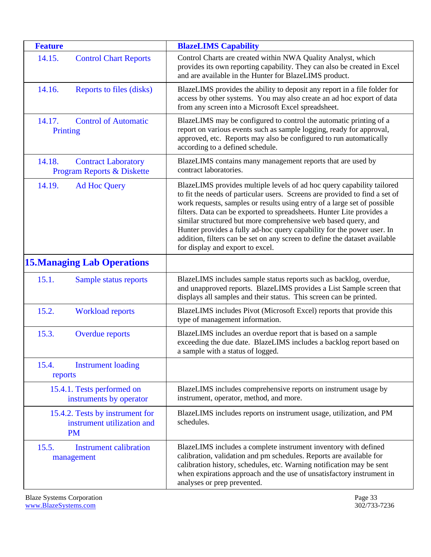<span id="page-32-10"></span><span id="page-32-9"></span><span id="page-32-8"></span><span id="page-32-7"></span><span id="page-32-6"></span><span id="page-32-5"></span><span id="page-32-4"></span><span id="page-32-3"></span><span id="page-32-2"></span><span id="page-32-1"></span><span id="page-32-0"></span>

| <b>Feature</b>                                                             | <b>BlazeLIMS Capability</b>                                                                                                                                                                                                                                                                                                                                                                                                                                                                                                                                              |
|----------------------------------------------------------------------------|--------------------------------------------------------------------------------------------------------------------------------------------------------------------------------------------------------------------------------------------------------------------------------------------------------------------------------------------------------------------------------------------------------------------------------------------------------------------------------------------------------------------------------------------------------------------------|
| 14.15.<br><b>Control Chart Reports</b>                                     | Control Charts are created within NWA Quality Analyst, which<br>provides its own reporting capability. They can also be created in Excel<br>and are available in the Hunter for BlazeLIMS product.                                                                                                                                                                                                                                                                                                                                                                       |
| 14.16.<br>Reports to files (disks)                                         | BlazeLIMS provides the ability to deposit any report in a file folder for<br>access by other systems. You may also create an ad hoc export of data<br>from any screen into a Microsoft Excel spreadsheet.                                                                                                                                                                                                                                                                                                                                                                |
| <b>Control of Automatic</b><br>14.17.<br>Printing                          | BlazeLIMS may be configured to control the automatic printing of a<br>report on various events such as sample logging, ready for approval,<br>approved, etc. Reports may also be configured to run automatically<br>according to a defined schedule.                                                                                                                                                                                                                                                                                                                     |
| 14.18.<br><b>Contract Laboratory</b><br>Program Reports & Diskette         | BlazeLIMS contains many management reports that are used by<br>contract laboratories.                                                                                                                                                                                                                                                                                                                                                                                                                                                                                    |
| 14.19.<br><b>Ad Hoc Query</b>                                              | BlazeLIMS provides multiple levels of ad hoc query capability tailored<br>to fit the needs of particular users. Screens are provided to find a set of<br>work requests, samples or results using entry of a large set of possible<br>filters. Data can be exported to spreadsheets. Hunter Lite provides a<br>similar structured but more comprehensive web based query, and<br>Hunter provides a fully ad-hoc query capability for the power user. In<br>addition, filters can be set on any screen to define the dataset available<br>for display and export to excel. |
| <b>15. Managing Lab Operations</b>                                         |                                                                                                                                                                                                                                                                                                                                                                                                                                                                                                                                                                          |
| 15.1.<br>Sample status reports                                             | BlazeLIMS includes sample status reports such as backlog, overdue,<br>and unapproved reports. BlazeLIMS provides a List Sample screen that<br>displays all samples and their status. This screen can be printed.                                                                                                                                                                                                                                                                                                                                                         |
| 15.2.<br><b>Workload reports</b>                                           | BlazeLIMS includes Pivot (Microsoft Excel) reports that provide this<br>type of management information.                                                                                                                                                                                                                                                                                                                                                                                                                                                                  |
| 15.3.<br><b>Overdue reports</b>                                            | BlazeLIMS includes an overdue report that is based on a sample<br>exceeding the due date. BlazeLIMS includes a backlog report based on<br>a sample with a status of logged.                                                                                                                                                                                                                                                                                                                                                                                              |
| 15.4.<br><b>Instrument loading</b><br>reports                              |                                                                                                                                                                                                                                                                                                                                                                                                                                                                                                                                                                          |
| 15.4.1. Tests performed on<br>instruments by operator                      | BlazeLIMS includes comprehensive reports on instrument usage by<br>instrument, operator, method, and more.                                                                                                                                                                                                                                                                                                                                                                                                                                                               |
| 15.4.2. Tests by instrument for<br>instrument utilization and<br><b>PM</b> | BlazeLIMS includes reports on instrument usage, utilization, and PM<br>schedules.                                                                                                                                                                                                                                                                                                                                                                                                                                                                                        |
| 15.5.<br><b>Instrument calibration</b><br>management                       | BlazeLIMS includes a complete instrument inventory with defined<br>calibration, validation and pm schedules. Reports are available for<br>calibration history, schedules, etc. Warning notification may be sent<br>when expirations approach and the use of unsatisfactory instrument in<br>analyses or prep prevented.                                                                                                                                                                                                                                                  |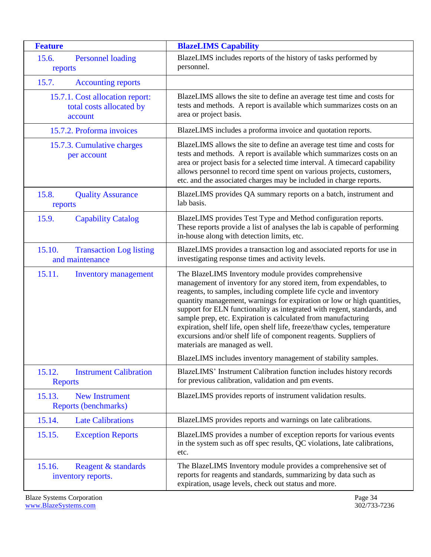<span id="page-33-10"></span><span id="page-33-9"></span><span id="page-33-8"></span><span id="page-33-7"></span><span id="page-33-6"></span><span id="page-33-5"></span><span id="page-33-4"></span><span id="page-33-3"></span><span id="page-33-2"></span><span id="page-33-1"></span><span id="page-33-0"></span>

| <b>Feature</b>                                                         | <b>BlazeLIMS Capability</b>                                                                                                                                                                                                                                                                                                                                                                                                                                                                                                                                                                              |
|------------------------------------------------------------------------|----------------------------------------------------------------------------------------------------------------------------------------------------------------------------------------------------------------------------------------------------------------------------------------------------------------------------------------------------------------------------------------------------------------------------------------------------------------------------------------------------------------------------------------------------------------------------------------------------------|
| 15.6.<br><b>Personnel loading</b><br>reports                           | BlazeLIMS includes reports of the history of tasks performed by<br>personnel.                                                                                                                                                                                                                                                                                                                                                                                                                                                                                                                            |
| 15.7.<br><b>Accounting reports</b>                                     |                                                                                                                                                                                                                                                                                                                                                                                                                                                                                                                                                                                                          |
| 15.7.1. Cost allocation report:<br>total costs allocated by<br>account | BlazeLIMS allows the site to define an average test time and costs for<br>tests and methods. A report is available which summarizes costs on an<br>area or project basis.                                                                                                                                                                                                                                                                                                                                                                                                                                |
| 15.7.2. Proforma invoices                                              | BlazeLIMS includes a proforma invoice and quotation reports.                                                                                                                                                                                                                                                                                                                                                                                                                                                                                                                                             |
| 15.7.3. Cumulative charges<br>per account                              | BlazeLIMS allows the site to define an average test time and costs for<br>tests and methods. A report is available which summarizes costs on an<br>area or project basis for a selected time interval. A timecard capability<br>allows personnel to record time spent on various projects, customers,<br>etc. and the associated charges may be included in charge reports.                                                                                                                                                                                                                              |
| 15.8.<br><b>Quality Assurance</b><br>reports                           | BlazeLIMS provides QA summary reports on a batch, instrument and<br>lab basis.                                                                                                                                                                                                                                                                                                                                                                                                                                                                                                                           |
| 15.9.<br><b>Capability Catalog</b>                                     | BlazeLIMS provides Test Type and Method configuration reports.<br>These reports provide a list of analyses the lab is capable of performing<br>in-house along with detection limits, etc.                                                                                                                                                                                                                                                                                                                                                                                                                |
| 15.10.<br><b>Transaction Log listing</b><br>and maintenance            | BlazeLIMS provides a transaction log and associated reports for use in<br>investigating response times and activity levels.                                                                                                                                                                                                                                                                                                                                                                                                                                                                              |
| 15.11.<br><b>Inventory management</b>                                  | The BlazeLIMS Inventory module provides comprehensive<br>management of inventory for any stored item, from expendables, to<br>reagents, to samples, including complete life cycle and inventory<br>quantity management, warnings for expiration or low or high quantities,<br>support for ELN functionality as integrated with regent, standards, and<br>sample prep, etc. Expiration is calculated from manufacturing<br>expiration, shelf life, open shelf life, freeze/thaw cycles, temperature<br>excursions and/or shelf life of component reagents. Suppliers of<br>materials are managed as well. |
|                                                                        | BlazeLIMS includes inventory management of stability samples.                                                                                                                                                                                                                                                                                                                                                                                                                                                                                                                                            |
| <b>Instrument Calibration</b><br>15.12.<br><b>Reports</b>              | BlazeLIMS' Instrument Calibration function includes history records<br>for previous calibration, validation and pm events.                                                                                                                                                                                                                                                                                                                                                                                                                                                                               |
| <b>New Instrument</b><br>15.13.<br>Reports (benchmarks)                | BlazeLIMS provides reports of instrument validation results.                                                                                                                                                                                                                                                                                                                                                                                                                                                                                                                                             |
| 15.14.<br><b>Late Calibrations</b>                                     | BlazeLIMS provides reports and warnings on late calibrations.                                                                                                                                                                                                                                                                                                                                                                                                                                                                                                                                            |
| 15.15.<br><b>Exception Reports</b>                                     | BlazeLIMS provides a number of exception reports for various events<br>in the system such as off spec results, QC violations, late calibrations,<br>etc.                                                                                                                                                                                                                                                                                                                                                                                                                                                 |
| 15.16.<br>Reagent & standards<br>inventory reports.                    | The BlazeLIMS Inventory module provides a comprehensive set of<br>reports for reagents and standards, summarizing by data such as<br>expiration, usage levels, check out status and more.                                                                                                                                                                                                                                                                                                                                                                                                                |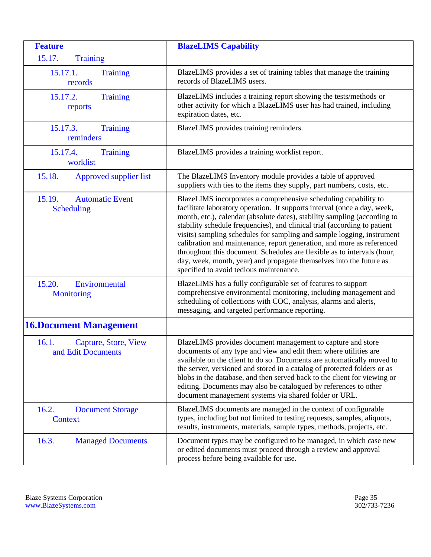<span id="page-34-7"></span><span id="page-34-6"></span><span id="page-34-5"></span><span id="page-34-4"></span><span id="page-34-3"></span><span id="page-34-2"></span><span id="page-34-1"></span><span id="page-34-0"></span>

| <b>Feature</b>                                        | <b>BlazeLIMS Capability</b>                                                                                                                                                                                                                                                                                                                                                                                                                                                                                                                                                                                                                            |
|-------------------------------------------------------|--------------------------------------------------------------------------------------------------------------------------------------------------------------------------------------------------------------------------------------------------------------------------------------------------------------------------------------------------------------------------------------------------------------------------------------------------------------------------------------------------------------------------------------------------------------------------------------------------------------------------------------------------------|
| 15.17.<br><b>Training</b>                             |                                                                                                                                                                                                                                                                                                                                                                                                                                                                                                                                                                                                                                                        |
| 15.17.1.<br><b>Training</b><br>records                | BlazeLIMS provides a set of training tables that manage the training<br>records of BlazeLIMS users.                                                                                                                                                                                                                                                                                                                                                                                                                                                                                                                                                    |
| 15.17.2.<br><b>Training</b><br>reports                | BlazeLIMS includes a training report showing the tests/methods or<br>other activity for which a BlazeLIMS user has had trained, including<br>expiration dates, etc.                                                                                                                                                                                                                                                                                                                                                                                                                                                                                    |
| 15.17.3.<br><b>Training</b><br>reminders              | BlazeLIMS provides training reminders.                                                                                                                                                                                                                                                                                                                                                                                                                                                                                                                                                                                                                 |
| 15.17.4.<br><b>Training</b><br>worklist               | BlazeLIMS provides a training worklist report.                                                                                                                                                                                                                                                                                                                                                                                                                                                                                                                                                                                                         |
| 15.18.<br>Approved supplier list                      | The BlazeLIMS Inventory module provides a table of approved<br>suppliers with ties to the items they supply, part numbers, costs, etc.                                                                                                                                                                                                                                                                                                                                                                                                                                                                                                                 |
| 15.19.<br><b>Automatic Event</b><br><b>Scheduling</b> | BlazeLIMS incorporates a comprehensive scheduling capability to<br>facilitate laboratory operation. It supports interval (once a day, week,<br>month, etc.), calendar (absolute dates), stability sampling (according to<br>stability schedule frequencies), and clinical trial (according to patient<br>visits) sampling schedules for sampling and sample logging, instrument<br>calibration and maintenance, report generation, and more as referenced<br>throughout this document. Schedules are flexible as to intervals (hour,<br>day, week, month, year) and propagate themselves into the future as<br>specified to avoid tedious maintenance. |
| 15.20.<br>Environmental<br><b>Monitoring</b>          | BlazeLIMS has a fully configurable set of features to support<br>comprehensive environmental monitoring, including management and<br>scheduling of collections with COC, analysis, alarms and alerts,<br>messaging, and targeted performance reporting.                                                                                                                                                                                                                                                                                                                                                                                                |
| <b>16. Document Management</b>                        |                                                                                                                                                                                                                                                                                                                                                                                                                                                                                                                                                                                                                                                        |
| 16.1.<br>Capture, Store, View<br>and Edit Documents   | BlazeLIMS provides document management to capture and store<br>documents of any type and view and edit them where utilities are<br>available on the client to do so. Documents are automatically moved to<br>the server, versioned and stored in a catalog of protected folders or as<br>blobs in the database, and then served back to the client for viewing or<br>editing. Documents may also be catalogued by references to other<br>document management systems via shared folder or URL.                                                                                                                                                         |
| 16.2.<br><b>Document Storage</b><br>Context           | BlazeLIMS documents are managed in the context of configurable<br>types, including but not limited to testing requests, samples, aliquots,<br>results, instruments, materials, sample types, methods, projects, etc.                                                                                                                                                                                                                                                                                                                                                                                                                                   |
| 16.3.<br><b>Managed Documents</b>                     | Document types may be configured to be managed, in which case new<br>or edited documents must proceed through a review and approval<br>process before being available for use.                                                                                                                                                                                                                                                                                                                                                                                                                                                                         |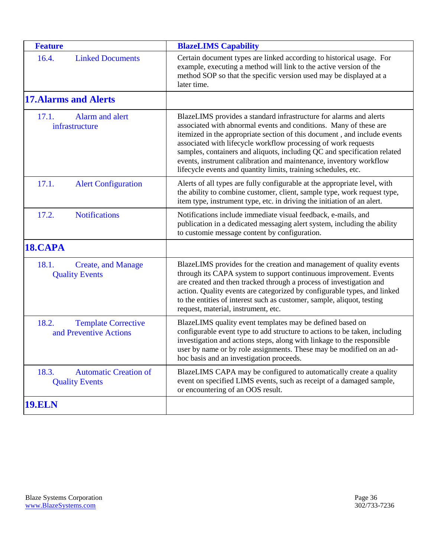<span id="page-35-9"></span><span id="page-35-8"></span><span id="page-35-7"></span><span id="page-35-6"></span><span id="page-35-5"></span><span id="page-35-4"></span><span id="page-35-3"></span><span id="page-35-2"></span><span id="page-35-1"></span><span id="page-35-0"></span>

| <b>Feature</b>                                                 | <b>BlazeLIMS Capability</b>                                                                                                                                                                                                                                                                                                                                                                                                                                                                               |
|----------------------------------------------------------------|-----------------------------------------------------------------------------------------------------------------------------------------------------------------------------------------------------------------------------------------------------------------------------------------------------------------------------------------------------------------------------------------------------------------------------------------------------------------------------------------------------------|
| 16.4.<br><b>Linked Documents</b>                               | Certain document types are linked according to historical usage. For<br>example, executing a method will link to the active version of the<br>method SOP so that the specific version used may be displayed at a<br>later time.                                                                                                                                                                                                                                                                           |
| <b>17. Alarms and Alerts</b>                                   |                                                                                                                                                                                                                                                                                                                                                                                                                                                                                                           |
| Alarm and alert<br>17.1.<br>infrastructure                     | BlazeLIMS provides a standard infrastructure for alarms and alerts<br>associated with abnormal events and conditions. Many of these are<br>itemized in the appropriate section of this document, and include events<br>associated with lifecycle workflow processing of work requests<br>samples, containers and aliquots, including QC and specification related<br>events, instrument calibration and maintenance, inventory workflow<br>lifecycle events and quantity limits, training schedules, etc. |
| 17.1.<br><b>Alert Configuration</b>                            | Alerts of all types are fully configurable at the appropriate level, with<br>the ability to combine customer, client, sample type, work request type,<br>item type, instrument type, etc. in driving the initiation of an alert.                                                                                                                                                                                                                                                                          |
| 17.2.<br><b>Notifications</b>                                  | Notifications include immediate visual feedback, e-mails, and<br>publication in a dedicated messaging alert system, including the ability<br>to customie message content by configuration.                                                                                                                                                                                                                                                                                                                |
| 18.CAPA                                                        |                                                                                                                                                                                                                                                                                                                                                                                                                                                                                                           |
| 18.1.<br><b>Create, and Manage</b><br><b>Quality Events</b>    | BlazeLIMS provides for the creation and management of quality events<br>through its CAPA system to support continuous improvement. Events<br>are created and then tracked through a process of investigation and<br>action. Quality events are categorized by configurable types, and linked<br>to the entities of interest such as customer, sample, aliquot, testing<br>request, material, instrument, etc.                                                                                             |
| 18.2.<br><b>Template Corrective</b><br>and Preventive Actions  | BlazeLIMS quality event templates may be defined based on<br>configurable event type to add structure to actions to be taken, including<br>investigation and actions steps, along with linkage to the responsible<br>user by name or by role assignments. These may be modified on an ad-<br>hoc basis and an investigation proceeds.                                                                                                                                                                     |
| 18.3.<br><b>Automatic Creation of</b><br><b>Quality Events</b> | BlazeLIMS CAPA may be configured to automatically create a quality<br>event on specified LIMS events, such as receipt of a damaged sample,<br>or encountering of an OOS result.                                                                                                                                                                                                                                                                                                                           |
| <b>19.ELN</b>                                                  |                                                                                                                                                                                                                                                                                                                                                                                                                                                                                                           |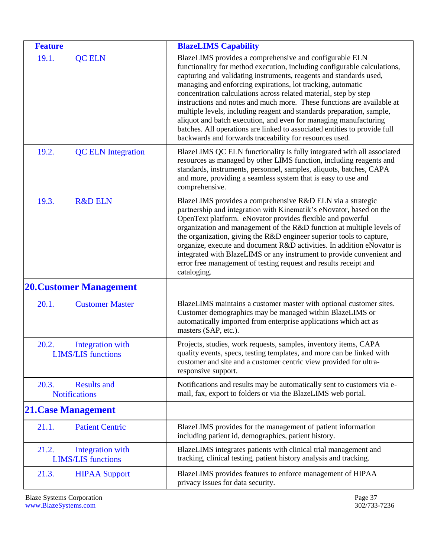<span id="page-36-10"></span><span id="page-36-9"></span><span id="page-36-8"></span><span id="page-36-7"></span><span id="page-36-6"></span><span id="page-36-5"></span><span id="page-36-4"></span><span id="page-36-3"></span><span id="page-36-2"></span><span id="page-36-1"></span><span id="page-36-0"></span>

| <b>Feature</b>                                                | <b>BlazeLIMS Capability</b>                                                                                                                                                                                                                                                                                                                                                                                                                                                                                                                                                                                                                                                                                 |
|---------------------------------------------------------------|-------------------------------------------------------------------------------------------------------------------------------------------------------------------------------------------------------------------------------------------------------------------------------------------------------------------------------------------------------------------------------------------------------------------------------------------------------------------------------------------------------------------------------------------------------------------------------------------------------------------------------------------------------------------------------------------------------------|
| 19.1.<br><b>QC ELN</b>                                        | BlazeLIMS provides a comprehensive and configurable ELN<br>functionality for method execution, including configurable calculations,<br>capturing and validating instruments, reagents and standards used,<br>managing and enforcing expirations, lot tracking, automatic<br>concentration calculations across related material, step by step<br>instructions and notes and much more. These functions are available at<br>multiple levels, including reagent and standards preparation, sample,<br>aliquot and batch execution, and even for managing manufacturing<br>batches. All operations are linked to associated entities to provide full<br>backwards and forwards traceability for resources used. |
| 19.2.<br><b>QC ELN Integration</b>                            | BlazeLIMS QC ELN functionality is fully integrated with all associated<br>resources as managed by other LIMS function, including reagents and<br>standards, instruments, personnel, samples, aliquots, batches, CAPA<br>and more, providing a seamless system that is easy to use and<br>comprehensive.                                                                                                                                                                                                                                                                                                                                                                                                     |
| 19.3.<br><b>R&amp;D ELN</b>                                   | BlazeLIMS provides a comprehensive R&D ELN via a strategic<br>partnership and integration with Kinematik's eNovator, based on the<br>OpenText platform. eNovator provides flexible and powerful<br>organization and management of the R&D function at multiple levels of<br>the organization, giving the R&D engineer superior tools to capture,<br>organize, execute and document R&D activities. In addition eNovator is<br>integrated with BlazeLIMS or any instrument to provide convenient and<br>error free management of testing request and results receipt and<br>cataloging.                                                                                                                      |
| <b>20. Customer Management</b>                                |                                                                                                                                                                                                                                                                                                                                                                                                                                                                                                                                                                                                                                                                                                             |
| 20.1.<br><b>Customer Master</b>                               | BlazeLIMS maintains a customer master with optional customer sites.<br>Customer demographics may be managed within BlazeLIMS or<br>automatically imported from enterprise applications which act as<br>masters (SAP, etc.).                                                                                                                                                                                                                                                                                                                                                                                                                                                                                 |
| 20.2.<br>Integration with<br><b>LIMS/LIS</b> functions        | Projects, studies, work requests, samples, inventory items, CAPA<br>quality events, specs, testing templates, and more can be linked with<br>customer and site and a customer centric view provided for ultra-<br>responsive support.                                                                                                                                                                                                                                                                                                                                                                                                                                                                       |
| 20.3.<br><b>Results and</b><br><b>Notifications</b>           | Notifications and results may be automatically sent to customers via e-<br>mail, fax, export to folders or via the BlazeLIMS web portal.                                                                                                                                                                                                                                                                                                                                                                                                                                                                                                                                                                    |
| <b>21. Case Management</b>                                    |                                                                                                                                                                                                                                                                                                                                                                                                                                                                                                                                                                                                                                                                                                             |
| <b>Patient Centric</b><br>21.1.                               | BlazeLIMS provides for the management of patient information<br>including patient id, demographics, patient history.                                                                                                                                                                                                                                                                                                                                                                                                                                                                                                                                                                                        |
| 21.2.<br><b>Integration</b> with<br><b>LIMS/LIS</b> functions | BlazeLIMS integrates patients with clinical trial management and<br>tracking, clinical testing, patient history analysis and tracking.                                                                                                                                                                                                                                                                                                                                                                                                                                                                                                                                                                      |
| 21.3.<br><b>HIPAA Support</b>                                 | BlazeLIMS provides features to enforce management of HIPAA<br>privacy issues for data security.                                                                                                                                                                                                                                                                                                                                                                                                                                                                                                                                                                                                             |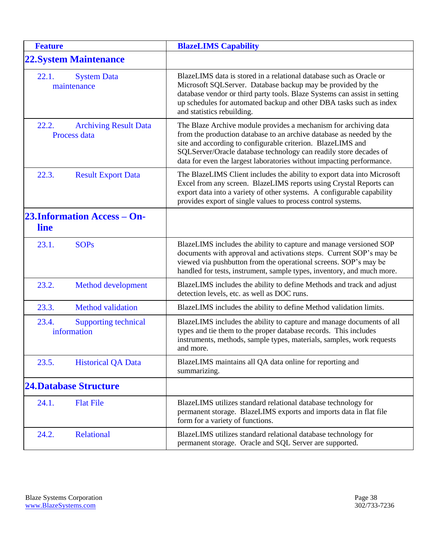<span id="page-37-12"></span><span id="page-37-11"></span><span id="page-37-10"></span><span id="page-37-9"></span><span id="page-37-8"></span><span id="page-37-7"></span><span id="page-37-6"></span><span id="page-37-5"></span><span id="page-37-4"></span><span id="page-37-3"></span><span id="page-37-2"></span><span id="page-37-1"></span><span id="page-37-0"></span>

| <b>Feature</b> |                                              | <b>BlazeLIMS Capability</b>                                                                                                                                                                                                                                                                                                                           |
|----------------|----------------------------------------------|-------------------------------------------------------------------------------------------------------------------------------------------------------------------------------------------------------------------------------------------------------------------------------------------------------------------------------------------------------|
|                | <b>22. System Maintenance</b>                |                                                                                                                                                                                                                                                                                                                                                       |
| 22.1.          | <b>System Data</b><br>maintenance            | BlazeLIMS data is stored in a relational database such as Oracle or<br>Microsoft SQLServer. Database backup may be provided by the<br>database vendor or third party tools. Blaze Systems can assist in setting<br>up schedules for automated backup and other DBA tasks such as index<br>and statistics rebuilding.                                  |
| 22.2.          | <b>Archiving Result Data</b><br>Process data | The Blaze Archive module provides a mechanism for archiving data<br>from the production database to an archive database as needed by the<br>site and according to configurable criterion. BlazeLIMS and<br>SQLServer/Oracle database technology can readily store decades of<br>data for even the largest laboratories without impacting performance. |
| 22.3.          | <b>Result Export Data</b>                    | The BlazeLIMS Client includes the ability to export data into Microsoft<br>Excel from any screen. BlazeLIMS reports using Crystal Reports can<br>export data into a variety of other systems. A configurable capability<br>provides export of single values to process control systems.                                                               |
| line           | <b>23.Information Access - On-</b>           |                                                                                                                                                                                                                                                                                                                                                       |
| 23.1.          | <b>SOPs</b>                                  | BlazeLIMS includes the ability to capture and manage versioned SOP<br>documents with approval and activations steps. Current SOP's may be<br>viewed via pushbutton from the operational screens. SOP's may be<br>handled for tests, instrument, sample types, inventory, and much more.                                                               |
| 23.2.          | <b>Method development</b>                    | BlazeLIMS includes the ability to define Methods and track and adjust<br>detection levels, etc. as well as DOC runs.                                                                                                                                                                                                                                  |
| 23.3.          | <b>Method</b> validation                     | BlazeLIMS includes the ability to define Method validation limits.                                                                                                                                                                                                                                                                                    |
| 23.4.          | <b>Supporting technical</b><br>information   | BlazeLIMS includes the ability to capture and manage documents of all<br>types and tie them to the proper database records. This includes<br>instruments, methods, sample types, materials, samples, work requests<br>and more.                                                                                                                       |
| 23.5.          | <b>Historical QA Data</b>                    | BlazeLIMS maintains all QA data online for reporting and<br>summarizing.                                                                                                                                                                                                                                                                              |
|                | <b>24.Database Structure</b>                 |                                                                                                                                                                                                                                                                                                                                                       |
| 24.1.          | <b>Flat File</b>                             | BlazeLIMS utilizes standard relational database technology for<br>permanent storage. BlazeLIMS exports and imports data in flat file<br>form for a variety of functions.                                                                                                                                                                              |
| 24.2.          | Relational                                   | BlazeLIMS utilizes standard relational database technology for<br>permanent storage. Oracle and SQL Server are supported.                                                                                                                                                                                                                             |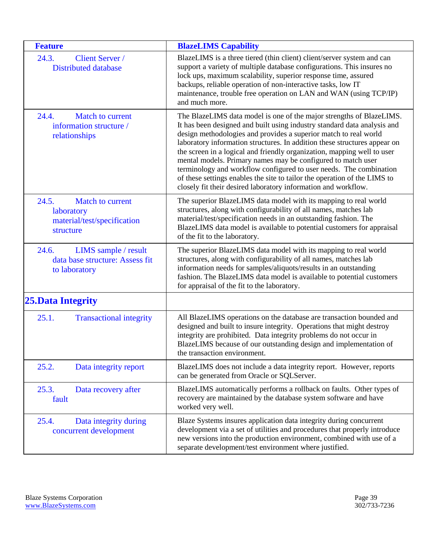<span id="page-38-8"></span><span id="page-38-7"></span><span id="page-38-6"></span><span id="page-38-5"></span><span id="page-38-4"></span><span id="page-38-3"></span><span id="page-38-2"></span><span id="page-38-1"></span><span id="page-38-0"></span>

| <b>Feature</b>                                                                      | <b>BlazeLIMS Capability</b>                                                                                                                                                                                                                                                                                                                                                                                                                                                                                                                                                                                                                                       |
|-------------------------------------------------------------------------------------|-------------------------------------------------------------------------------------------------------------------------------------------------------------------------------------------------------------------------------------------------------------------------------------------------------------------------------------------------------------------------------------------------------------------------------------------------------------------------------------------------------------------------------------------------------------------------------------------------------------------------------------------------------------------|
| 24.3.<br><b>Client Server</b> /<br><b>Distributed database</b>                      | BlazeLIMS is a three tiered (thin client) client/server system and can<br>support a variety of multiple database configurations. This insures no<br>lock ups, maximum scalability, superior response time, assured<br>backups, reliable operation of non-interactive tasks, low IT<br>maintenance, trouble free operation on LAN and WAN (using TCP/IP)<br>and much more.                                                                                                                                                                                                                                                                                         |
| Match to current<br>24.4.<br>information structure /<br>relationships               | The BlazeLIMS data model is one of the major strengths of BlazeLIMS.<br>It has been designed and built using industry standard data analysis and<br>design methodologies and provides a superior match to real world<br>laboratory information structures. In addition these structures appear on<br>the screen in a logical and friendly organization, mapping well to user<br>mental models. Primary names may be configured to match user<br>terminology and workflow configured to user needs. The combination<br>of these settings enables the site to tailor the operation of the LIMS to<br>closely fit their desired laboratory information and workflow. |
| 24.5.<br>Match to current<br>laboratory<br>material/test/specification<br>structure | The superior BlazeLIMS data model with its mapping to real world<br>structures, along with configurability of all names, matches lab<br>material/test/specification needs in an outstanding fashion. The<br>BlazeLIMS data model is available to potential customers for appraisal<br>of the fit to the laboratory.                                                                                                                                                                                                                                                                                                                                               |
| 24.6.<br>LIMS sample / result<br>data base structure: Assess fit<br>to laboratory   | The superior BlazeLIMS data model with its mapping to real world<br>structures, along with configurability of all names, matches lab<br>information needs for samples/aliquots/results in an outstanding<br>fashion. The BlazeLIMS data model is available to potential customers<br>for appraisal of the fit to the laboratory.                                                                                                                                                                                                                                                                                                                                  |
| <b>25. Data Integrity</b>                                                           |                                                                                                                                                                                                                                                                                                                                                                                                                                                                                                                                                                                                                                                                   |
| 25.1.<br><b>Transactional integrity</b>                                             | All BlazeLIMS operations on the database are transaction bounded and<br>designed and built to insure integrity. Operations that might destroy<br>integrity are prohibited. Data integrity problems do not occur in<br>BlazeLIMS because of our outstanding design and implementation of<br>the transaction environment.                                                                                                                                                                                                                                                                                                                                           |
| 25.2.<br>Data integrity report                                                      | BlazeLIMS does not include a data integrity report. However, reports<br>can be generated from Oracle or SQLServer.                                                                                                                                                                                                                                                                                                                                                                                                                                                                                                                                                |
| 25.3.<br>Data recovery after<br>fault                                               | BlazeLIMS automatically performs a rollback on faults. Other types of<br>recovery are maintained by the database system software and have<br>worked very well.                                                                                                                                                                                                                                                                                                                                                                                                                                                                                                    |
| 25.4.<br>Data integrity during<br>concurrent development                            | Blaze Systems insures application data integrity during concurrent<br>development via a set of utilities and procedures that properly introduce<br>new versions into the production environment, combined with use of a<br>separate development/test environment where justified.                                                                                                                                                                                                                                                                                                                                                                                 |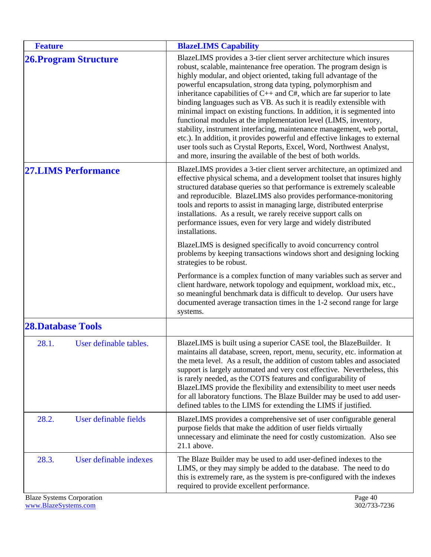<span id="page-39-5"></span><span id="page-39-4"></span><span id="page-39-3"></span><span id="page-39-2"></span><span id="page-39-1"></span><span id="page-39-0"></span>

| <b>Feature</b>                   |                              | <b>BlazeLIMS Capability</b>                                                                                                                                                                                                                                                                                                                                                                                                                                                                                                                                                                                                                                                                                                                                                                                                                                                      |
|----------------------------------|------------------------------|----------------------------------------------------------------------------------------------------------------------------------------------------------------------------------------------------------------------------------------------------------------------------------------------------------------------------------------------------------------------------------------------------------------------------------------------------------------------------------------------------------------------------------------------------------------------------------------------------------------------------------------------------------------------------------------------------------------------------------------------------------------------------------------------------------------------------------------------------------------------------------|
|                                  | <b>26. Program Structure</b> | BlazeLIMS provides a 3-tier client server architecture which insures<br>robust, scalable, maintenance free operation. The program design is<br>highly modular, and object oriented, taking full advantage of the<br>powerful encapsulation, strong data typing, polymorphism and<br>inheritance capabilities of C++ and C#, which are far superior to late<br>binding languages such as VB. As such it is readily extensible with<br>minimal impact on existing functions. In addition, it is segmented into<br>functional modules at the implementation level (LIMS, inventory,<br>stability, instrument interfacing, maintenance management, web portal,<br>etc.). In addition, it provides powerful and effective linkages to external<br>user tools such as Crystal Reports, Excel, Word, Northwest Analyst,<br>and more, insuring the available of the best of both worlds. |
|                                  | <b>27.LIMS Performance</b>   | BlazeLIMS provides a 3-tier client server architecture, an optimized and<br>effective physical schema, and a development toolset that insures highly<br>structured database queries so that performance is extremely scaleable<br>and reproducible. BlazeLIMS also provides performance-monitoring<br>tools and reports to assist in managing large, distributed enterprise<br>installations. As a result, we rarely receive support calls on<br>performance issues, even for very large and widely distributed<br>installations.<br>BlazeLIMS is designed specifically to avoid concurrency control<br>problems by keeping transactions windows short and designing locking<br>strategies to be robust.                                                                                                                                                                         |
|                                  |                              | Performance is a complex function of many variables such as server and<br>client hardware, network topology and equipment, workload mix, etc.,<br>so meaningful benchmark data is difficult to develop. Our users have<br>documented average transaction times in the 1-2 second range for large<br>systems.                                                                                                                                                                                                                                                                                                                                                                                                                                                                                                                                                                     |
| <b>28.Database Tools</b>         |                              |                                                                                                                                                                                                                                                                                                                                                                                                                                                                                                                                                                                                                                                                                                                                                                                                                                                                                  |
| 28.1.                            | User definable tables.       | BlazeLIMS is built using a superior CASE tool, the BlazeBuilder. It<br>maintains all database, screen, report, menu, security, etc. information at<br>the meta level. As a result, the addition of custom tables and associated<br>support is largely automated and very cost effective. Nevertheless, this<br>is rarely needed, as the COTS features and configurability of<br>BlazeLIMS provide the flexibility and extensibility to meet user needs<br>for all laboratory functions. The Blaze Builder may be used to add user-<br>defined tables to the LIMS for extending the LIMS if justified.                                                                                                                                                                                                                                                                            |
| 28.2.                            | User definable fields        | BlazeLIMS provides a comprehensive set of user configurable general<br>purpose fields that make the addition of user fields virtually<br>unnecessary and eliminate the need for costly customization. Also see<br>$21.1$ above.                                                                                                                                                                                                                                                                                                                                                                                                                                                                                                                                                                                                                                                  |
| 28.3.                            | User definable indexes       | The Blaze Builder may be used to add user-defined indexes to the<br>LIMS, or they may simply be added to the database. The need to do<br>this is extremely rare, as the system is pre-configured with the indexes<br>required to provide excellent performance.                                                                                                                                                                                                                                                                                                                                                                                                                                                                                                                                                                                                                  |
| <b>Blaze Systems Corporation</b> |                              | Page 40                                                                                                                                                                                                                                                                                                                                                                                                                                                                                                                                                                                                                                                                                                                                                                                                                                                                          |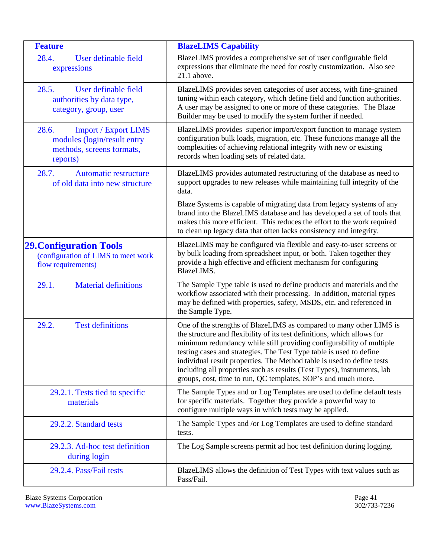<span id="page-40-6"></span><span id="page-40-5"></span><span id="page-40-4"></span><span id="page-40-3"></span><span id="page-40-2"></span><span id="page-40-1"></span><span id="page-40-0"></span>

| <b>Feature</b>                                                                                               | <b>BlazeLIMS Capability</b>                                                                                                                                                                                                                                                                                                                                                                                                                                                                                         |
|--------------------------------------------------------------------------------------------------------------|---------------------------------------------------------------------------------------------------------------------------------------------------------------------------------------------------------------------------------------------------------------------------------------------------------------------------------------------------------------------------------------------------------------------------------------------------------------------------------------------------------------------|
| User definable field<br>28.4.<br>expressions                                                                 | BlazeLIMS provides a comprehensive set of user configurable field<br>expressions that eliminate the need for costly customization. Also see<br>21.1 above.                                                                                                                                                                                                                                                                                                                                                          |
| 28.5.<br>User definable field<br>authorities by data type,<br>category, group, user                          | BlazeLIMS provides seven categories of user access, with fine-grained<br>tuning within each category, which define field and function authorities.<br>A user may be assigned to one or more of these categories. The Blaze<br>Builder may be used to modify the system further if needed.                                                                                                                                                                                                                           |
| 28.6.<br><b>Import / Export LIMS</b><br>modules (login/result entry<br>methods, screens formats,<br>reports) | BlazeLIMS provides superior import/export function to manage system<br>configuration bulk loads, migration, etc. These functions manage all the<br>complexities of achieving relational integrity with new or existing<br>records when loading sets of related data.                                                                                                                                                                                                                                                |
| 28.7.<br><b>Automatic restructure</b><br>of old data into new structure                                      | BlazeLIMS provides automated restructuring of the database as need to<br>support upgrades to new releases while maintaining full integrity of the<br>data.                                                                                                                                                                                                                                                                                                                                                          |
|                                                                                                              | Blaze Systems is capable of migrating data from legacy systems of any<br>brand into the BlazeLIMS database and has developed a set of tools that<br>makes this more efficient. This reduces the effort to the work required<br>to clean up legacy data that often lacks consistency and integrity.                                                                                                                                                                                                                  |
| <b>29. Configuration Tools</b><br>(configuration of LIMS to meet work<br>flow requirements)                  | BlazeLIMS may be configured via flexible and easy-to-user screens or<br>by bulk loading from spreadsheet input, or both. Taken together they<br>provide a high effective and efficient mechanism for configuring<br>BlazeLIMS.                                                                                                                                                                                                                                                                                      |
| 29.1.<br><b>Material definitions</b>                                                                         | The Sample Type table is used to define products and materials and the<br>workflow associated with their processing. In addition, material types<br>may be defined with properties, safety, MSDS, etc. and referenced in<br>the Sample Type.                                                                                                                                                                                                                                                                        |
| 29.2.<br><b>Test definitions</b>                                                                             | One of the strengths of BlazeLIMS as compared to many other LIMS is<br>the structure and flexibility of its test definitions, which allows for<br>minimum redundancy while still providing configurability of multiple<br>testing cases and strategies. The Test Type table is used to define<br>individual result properties. The Method table is used to define tests<br>including all properties such as results (Test Types), instruments, lab<br>groups, cost, time to run, QC templates, SOP's and much more. |
| 29.2.1. Tests tied to specific<br>materials                                                                  | The Sample Types and or Log Templates are used to define default tests<br>for specific materials. Together they provide a powerful way to<br>configure multiple ways in which tests may be applied.                                                                                                                                                                                                                                                                                                                 |
| 29.2.2. Standard tests                                                                                       | The Sample Types and /or Log Templates are used to define standard<br>tests.                                                                                                                                                                                                                                                                                                                                                                                                                                        |
| 29.2.3. Ad-hoc test definition<br>during login                                                               | The Log Sample screens permit ad hoc test definition during logging.                                                                                                                                                                                                                                                                                                                                                                                                                                                |
| 29.2.4. Pass/Fail tests                                                                                      | BlazeLIMS allows the definition of Test Types with text values such as<br>Pass/Fail.                                                                                                                                                                                                                                                                                                                                                                                                                                |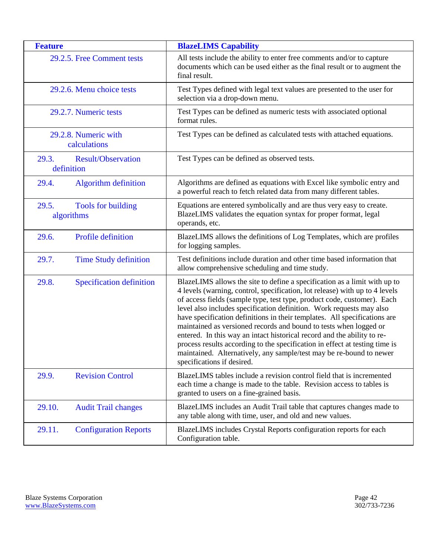<span id="page-41-8"></span><span id="page-41-7"></span><span id="page-41-6"></span><span id="page-41-5"></span><span id="page-41-4"></span><span id="page-41-3"></span><span id="page-41-2"></span><span id="page-41-1"></span><span id="page-41-0"></span>

| <b>Feature</b>                                   | <b>BlazeLIMS Capability</b>                                                                                                                                                                                                                                                                                                                                                                                                                                                                                                                                                                                                                                                                                                  |
|--------------------------------------------------|------------------------------------------------------------------------------------------------------------------------------------------------------------------------------------------------------------------------------------------------------------------------------------------------------------------------------------------------------------------------------------------------------------------------------------------------------------------------------------------------------------------------------------------------------------------------------------------------------------------------------------------------------------------------------------------------------------------------------|
| 29.2.5. Free Comment tests                       | All tests include the ability to enter free comments and/or to capture<br>documents which can be used either as the final result or to augment the<br>final result.                                                                                                                                                                                                                                                                                                                                                                                                                                                                                                                                                          |
| 29.2.6. Menu choice tests                        | Test Types defined with legal text values are presented to the user for<br>selection via a drop-down menu.                                                                                                                                                                                                                                                                                                                                                                                                                                                                                                                                                                                                                   |
| 29.2.7. Numeric tests                            | Test Types can be defined as numeric tests with associated optional<br>format rules.                                                                                                                                                                                                                                                                                                                                                                                                                                                                                                                                                                                                                                         |
| 29.2.8. Numeric with<br>calculations             | Test Types can be defined as calculated tests with attached equations.                                                                                                                                                                                                                                                                                                                                                                                                                                                                                                                                                                                                                                                       |
| 29.3.<br><b>Result/Observation</b><br>definition | Test Types can be defined as observed tests.                                                                                                                                                                                                                                                                                                                                                                                                                                                                                                                                                                                                                                                                                 |
| <b>Algorithm definition</b><br>29.4.             | Algorithms are defined as equations with Excel like symbolic entry and<br>a powerful reach to fetch related data from many different tables.                                                                                                                                                                                                                                                                                                                                                                                                                                                                                                                                                                                 |
| 29.5.<br>Tools for building<br>algorithms        | Equations are entered symbolically and are thus very easy to create.<br>BlazeLIMS validates the equation syntax for proper format, legal<br>operands, etc.                                                                                                                                                                                                                                                                                                                                                                                                                                                                                                                                                                   |
| Profile definition<br>29.6.                      | BlazeLIMS allows the definitions of Log Templates, which are profiles<br>for logging samples.                                                                                                                                                                                                                                                                                                                                                                                                                                                                                                                                                                                                                                |
| 29.7.<br><b>Time Study definition</b>            | Test definitions include duration and other time based information that<br>allow comprehensive scheduling and time study.                                                                                                                                                                                                                                                                                                                                                                                                                                                                                                                                                                                                    |
| 29.8.<br>Specification definition                | BlazeLIMS allows the site to define a specification as a limit with up to<br>4 levels (warning, control, specification, lot release) with up to 4 levels<br>of access fields (sample type, test type, product code, customer). Each<br>level also includes specification definition. Work requests may also<br>have specification definitions in their templates. All specifications are<br>maintained as versioned records and bound to tests when logged or<br>entered. In this way an intact historical record and the ability to re-<br>process results according to the specification in effect at testing time is<br>maintained. Alternatively, any sample/test may be re-bound to newer<br>specifications if desired. |
| <b>Revision Control</b><br>29.9.                 | BlazeLIMS tables include a revision control field that is incremented<br>each time a change is made to the table. Revision access to tables is<br>granted to users on a fine-grained basis.                                                                                                                                                                                                                                                                                                                                                                                                                                                                                                                                  |
| 29.10.<br><b>Audit Trail changes</b>             | BlazeLIMS includes an Audit Trail table that captures changes made to<br>any table along with time, user, and old and new values.                                                                                                                                                                                                                                                                                                                                                                                                                                                                                                                                                                                            |
| 29.11.<br><b>Configuration Reports</b>           | BlazeLIMS includes Crystal Reports configuration reports for each<br>Configuration table.                                                                                                                                                                                                                                                                                                                                                                                                                                                                                                                                                                                                                                    |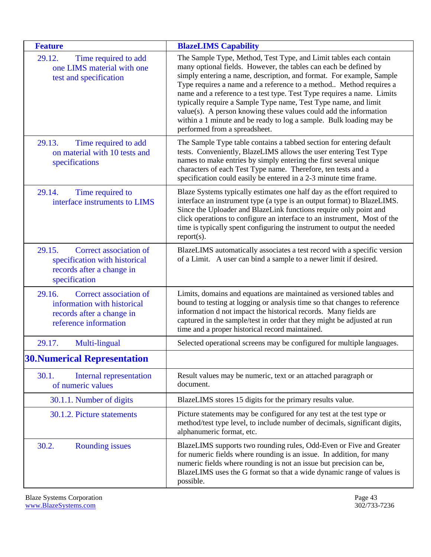<span id="page-42-8"></span><span id="page-42-7"></span><span id="page-42-6"></span><span id="page-42-5"></span><span id="page-42-4"></span><span id="page-42-3"></span><span id="page-42-2"></span><span id="page-42-1"></span><span id="page-42-0"></span>

| <b>Feature</b>                                                                                                        | <b>BlazeLIMS Capability</b>                                                                                                                                                                                                                                                                                                                                                                                                                                                                                                                                                                                   |
|-----------------------------------------------------------------------------------------------------------------------|---------------------------------------------------------------------------------------------------------------------------------------------------------------------------------------------------------------------------------------------------------------------------------------------------------------------------------------------------------------------------------------------------------------------------------------------------------------------------------------------------------------------------------------------------------------------------------------------------------------|
| 29.12.<br>Time required to add<br>one LIMS material with one<br>test and specification                                | The Sample Type, Method, Test Type, and Limit tables each contain<br>many optional fields. However, the tables can each be defined by<br>simply entering a name, description, and format. For example, Sample<br>Type requires a name and a reference to a method Method requires a<br>name and a reference to a test type. Test Type requires a name. Limits<br>typically require a Sample Type name, Test Type name, and limit<br>value(s). A person knowing these values could add the information<br>within a 1 minute and be ready to log a sample. Bulk loading may be<br>performed from a spreadsheet. |
| 29.13.<br>Time required to add<br>on material with 10 tests and<br>specifications                                     | The Sample Type table contains a tabbed section for entering default<br>tests. Conveniently, BlazeLIMS allows the user entering Test Type<br>names to make entries by simply entering the first several unique<br>characters of each Test Type name. Therefore, ten tests and a<br>specification could easily be entered in a 2-3 minute time frame.                                                                                                                                                                                                                                                          |
| 29.14.<br>Time required to<br>interface instruments to LIMS                                                           | Blaze Systems typically estimates one half day as the effort required to<br>interface an instrument type (a type is an output format) to BlazeLIMS.<br>Since the Uploader and BlazeLink functions require only point and<br>click operations to configure an interface to an instrument, Most of the<br>time is typically spent configuring the instrument to output the needed<br>$report(s)$ .                                                                                                                                                                                                              |
| 29.15.<br>Correct association of<br>specification with historical<br>records after a change in<br>specification       | BlazeLIMS automatically associates a test record with a specific version<br>of a Limit. A user can bind a sample to a newer limit if desired.                                                                                                                                                                                                                                                                                                                                                                                                                                                                 |
| 29.16.<br>Correct association of<br>information with historical<br>records after a change in<br>reference information | Limits, domains and equations are maintained as versioned tables and<br>bound to testing at logging or analysis time so that changes to reference<br>information d not impact the historical records. Many fields are<br>captured in the sample/test in order that they might be adjusted at run<br>time and a proper historical record maintained.                                                                                                                                                                                                                                                           |
| 29.17.<br>Multi-lingual                                                                                               | Selected operational screens may be configured for multiple languages.                                                                                                                                                                                                                                                                                                                                                                                                                                                                                                                                        |
| <b>30. Numerical Representation</b>                                                                                   |                                                                                                                                                                                                                                                                                                                                                                                                                                                                                                                                                                                                               |
| 30.1.<br><b>Internal representation</b><br>of numeric values                                                          | Result values may be numeric, text or an attached paragraph or<br>document.                                                                                                                                                                                                                                                                                                                                                                                                                                                                                                                                   |
| 30.1.1. Number of digits                                                                                              | BlazeLIMS stores 15 digits for the primary results value.                                                                                                                                                                                                                                                                                                                                                                                                                                                                                                                                                     |
| 30.1.2. Picture statements                                                                                            | Picture statements may be configured for any test at the test type or<br>method/test type level, to include number of decimals, significant digits,<br>alphanumeric format, etc.                                                                                                                                                                                                                                                                                                                                                                                                                              |
| 30.2.<br><b>Rounding issues</b>                                                                                       | BlazeLIMS supports two rounding rules, Odd-Even or Five and Greater<br>for numeric fields where rounding is an issue. In addition, for many<br>numeric fields where rounding is not an issue but precision can be,<br>BlazeLIMS uses the G format so that a wide dynamic range of values is<br>possible.                                                                                                                                                                                                                                                                                                      |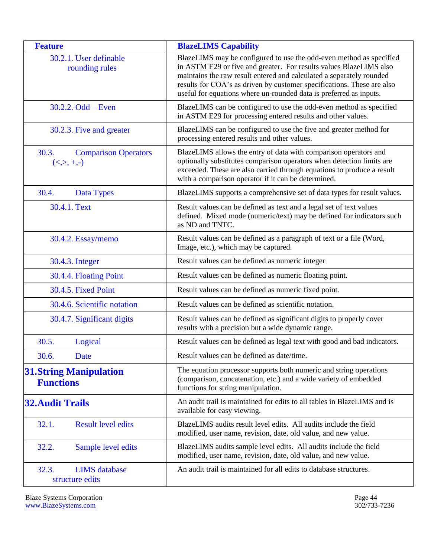<span id="page-43-8"></span><span id="page-43-7"></span><span id="page-43-6"></span><span id="page-43-5"></span><span id="page-43-4"></span><span id="page-43-3"></span><span id="page-43-2"></span><span id="page-43-1"></span><span id="page-43-0"></span>

| <b>Feature</b>                                      | <b>BlazeLIMS Capability</b>                                                                                                                                                                                                                                                                                                                                       |
|-----------------------------------------------------|-------------------------------------------------------------------------------------------------------------------------------------------------------------------------------------------------------------------------------------------------------------------------------------------------------------------------------------------------------------------|
| 30.2.1. User definable<br>rounding rules            | BlazeLIMS may be configured to use the odd-even method as specified<br>in ASTM E29 or five and greater. For results values BlazeLIMS also<br>maintains the raw result entered and calculated a separately rounded<br>results for COA's as driven by customer specifications. These are also<br>useful for equations where un-rounded data is preferred as inputs. |
| $30.2.2$ . Odd – Even                               | BlazeLIMS can be configured to use the odd-even method as specified<br>in ASTM E29 for processing entered results and other values.                                                                                                                                                                                                                               |
| 30.2.3. Five and greater                            | BlazeLIMS can be configured to use the five and greater method for<br>processing entered results and other values.                                                                                                                                                                                                                                                |
| 30.3.<br><b>Comparison Operators</b><br>$(<,>,+,-)$ | BlazeLIMS allows the entry of data with comparison operators and<br>optionally substitutes comparison operators when detection limits are<br>exceeded. These are also carried through equations to produce a result<br>with a comparison operator if it can be determined.                                                                                        |
| 30.4.<br>Data Types                                 | BlazeLIMS supports a comprehensive set of data types for result values.                                                                                                                                                                                                                                                                                           |
| 30.4.1. Text                                        | Result values can be defined as text and a legal set of text values<br>defined. Mixed mode (numeric/text) may be defined for indicators such<br>as ND and TNTC.                                                                                                                                                                                                   |
| 30.4.2. Essay/memo                                  | Result values can be defined as a paragraph of text or a file (Word,<br>Image, etc.), which may be captured.                                                                                                                                                                                                                                                      |
| 30.4.3. Integer                                     | Result values can be defined as numeric integer                                                                                                                                                                                                                                                                                                                   |
| 30.4.4. Floating Point                              | Result values can be defined as numeric floating point.                                                                                                                                                                                                                                                                                                           |
| 30.4.5. Fixed Point                                 | Result values can be defined as numeric fixed point.                                                                                                                                                                                                                                                                                                              |
| 30.4.6. Scientific notation                         | Result values can be defined as scientific notation.                                                                                                                                                                                                                                                                                                              |
| 30.4.7. Significant digits                          | Result values can be defined as significant digits to properly cover<br>results with a precision but a wide dynamic range.                                                                                                                                                                                                                                        |
| 30.5.<br>Logical                                    | Result values can be defined as legal text with good and bad indicators.                                                                                                                                                                                                                                                                                          |
| 30.6.<br>Date                                       | Result values can be defined as date/time.                                                                                                                                                                                                                                                                                                                        |
| <b>31. String Manipulation</b><br><b>Functions</b>  | The equation processor supports both numeric and string operations<br>(comparison, concatenation, etc.) and a wide variety of embedded<br>functions for string manipulation.                                                                                                                                                                                      |
| <b>32. Audit Trails</b>                             | An audit trail is maintained for edits to all tables in BlazeLIMS and is<br>available for easy viewing.                                                                                                                                                                                                                                                           |
| 32.1.<br><b>Result level edits</b>                  | BlazeLIMS audits result level edits. All audits include the field<br>modified, user name, revision, date, old value, and new value.                                                                                                                                                                                                                               |
| 32.2.<br>Sample level edits                         | BlazeLIMS audits sample level edits. All audits include the field<br>modified, user name, revision, date, old value, and new value.                                                                                                                                                                                                                               |
| 32.3.<br><b>LIMS</b> database<br>structure edits    | An audit trail is maintained for all edits to database structures.                                                                                                                                                                                                                                                                                                |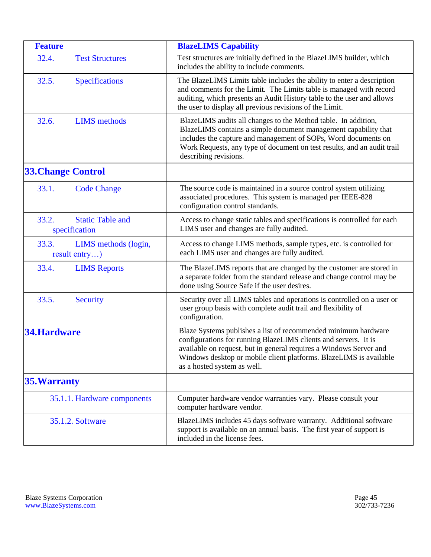<span id="page-44-10"></span><span id="page-44-9"></span><span id="page-44-8"></span><span id="page-44-7"></span><span id="page-44-6"></span><span id="page-44-5"></span><span id="page-44-4"></span><span id="page-44-3"></span><span id="page-44-2"></span><span id="page-44-1"></span><span id="page-44-0"></span>

| <b>Feature</b>                                    | <b>BlazeLIMS Capability</b>                                                                                                                                                                                                                                                                                  |
|---------------------------------------------------|--------------------------------------------------------------------------------------------------------------------------------------------------------------------------------------------------------------------------------------------------------------------------------------------------------------|
| 32.4.<br><b>Test Structures</b>                   | Test structures are initially defined in the BlazeLIMS builder, which<br>includes the ability to include comments.                                                                                                                                                                                           |
| 32.5.<br><b>Specifications</b>                    | The BlazeLIMS Limits table includes the ability to enter a description<br>and comments for the Limit. The Limits table is managed with record<br>auditing, which presents an Audit History table to the user and allows<br>the user to display all previous revisions of the Limit.                          |
| 32.6.<br><b>LIMS</b> methods                      | BlazeLIMS audits all changes to the Method table. In addition,<br>BlazeLIMS contains a simple document management capability that<br>includes the capture and management of SOPs, Word documents on<br>Work Requests, any type of document on test results, and an audit trail<br>describing revisions.      |
| <b>33. Change Control</b>                         |                                                                                                                                                                                                                                                                                                              |
| 33.1.<br><b>Code Change</b>                       | The source code is maintained in a source control system utilizing<br>associated procedures. This system is managed per IEEE-828<br>configuration control standards.                                                                                                                                         |
| 33.2.<br><b>Static Table and</b><br>specification | Access to change static tables and specifications is controlled for each<br>LIMS user and changes are fully audited.                                                                                                                                                                                         |
| 33.3.<br>LIMS methods (login,<br>result entry)    | Access to change LIMS methods, sample types, etc. is controlled for<br>each LIMS user and changes are fully audited.                                                                                                                                                                                         |
| 33.4.<br><b>LIMS</b> Reports                      | The BlazeLIMS reports that are changed by the customer are stored in<br>a separate folder from the standard release and change control may be<br>done using Source Safe if the user desires.                                                                                                                 |
| 33.5.<br><b>Security</b>                          | Security over all LIMS tables and operations is controlled on a user or<br>user group basis with complete audit trail and flexibility of<br>configuration.                                                                                                                                                   |
| <b>34.Hardware</b>                                | Blaze Systems publishes a list of recommended minimum hardware<br>configurations for running BlazeLIMS clients and servers. It is<br>available on request, but in general requires a Windows Server and<br>Windows desktop or mobile client platforms. BlazeLIMS is available<br>as a hosted system as well. |
| <b>35. Warranty</b>                               |                                                                                                                                                                                                                                                                                                              |
| 35.1.1. Hardware components                       | Computer hardware vendor warranties vary. Please consult your<br>computer hardware vendor.                                                                                                                                                                                                                   |
| 35.1.2. Software                                  | BlazeLIMS includes 45 days software warranty. Additional software<br>support is available on an annual basis. The first year of support is<br>included in the license fees.                                                                                                                                  |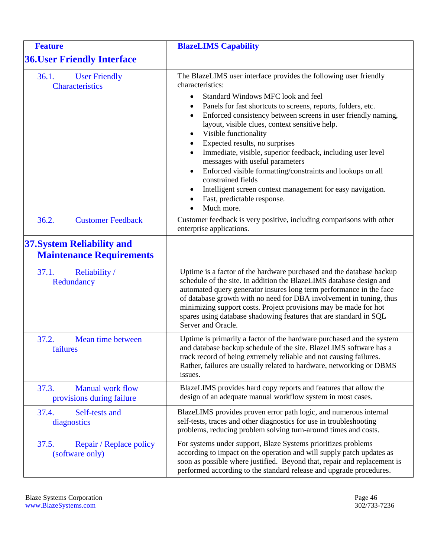<span id="page-45-8"></span><span id="page-45-7"></span><span id="page-45-6"></span><span id="page-45-5"></span><span id="page-45-4"></span><span id="page-45-3"></span><span id="page-45-2"></span><span id="page-45-1"></span><span id="page-45-0"></span>

| <b>Feature</b>                                                       | <b>BlazeLIMS Capability</b>                                                                                                                                                                                                                                                                                                                                                                                                                                                                                                                                                                                                                                                                                                      |
|----------------------------------------------------------------------|----------------------------------------------------------------------------------------------------------------------------------------------------------------------------------------------------------------------------------------------------------------------------------------------------------------------------------------------------------------------------------------------------------------------------------------------------------------------------------------------------------------------------------------------------------------------------------------------------------------------------------------------------------------------------------------------------------------------------------|
| <b>36. User Friendly Interface</b>                                   |                                                                                                                                                                                                                                                                                                                                                                                                                                                                                                                                                                                                                                                                                                                                  |
| 36.1.<br><b>User Friendly</b><br><b>Characteristics</b>              | The BlazeLIMS user interface provides the following user friendly<br>characteristics:<br>Standard Windows MFC look and feel<br>$\bullet$<br>Panels for fast shortcuts to screens, reports, folders, etc.<br>Enforced consistency between screens in user friendly naming,<br>٠<br>layout, visible clues, context sensitive help.<br>Visible functionality<br>$\bullet$<br>Expected results, no surprises<br>$\bullet$<br>Immediate, visible, superior feedback, including user level<br>messages with useful parameters<br>Enforced visible formatting/constraints and lookups on all<br>٠<br>constrained fields<br>Intelligent screen context management for easy navigation.<br>٠<br>Fast, predictable response.<br>Much more. |
| 36.2.<br><b>Customer Feedback</b>                                    | Customer feedback is very positive, including comparisons with other<br>enterprise applications.                                                                                                                                                                                                                                                                                                                                                                                                                                                                                                                                                                                                                                 |
| <b>37. System Reliability and</b><br><b>Maintenance Requirements</b> |                                                                                                                                                                                                                                                                                                                                                                                                                                                                                                                                                                                                                                                                                                                                  |
| Reliability /<br>37.1.<br>Redundancy                                 | Uptime is a factor of the hardware purchased and the database backup<br>schedule of the site. In addition the BlazeLIMS database design and<br>automated query generator insures long term performance in the face<br>of database growth with no need for DBA involvement in tuning, thus<br>minimizing support costs. Project provisions may be made for hot<br>spares using database shadowing features that are standard in SQL<br>Server and Oracle.                                                                                                                                                                                                                                                                         |
| 37.2.<br>Mean time between<br>failures                               | Uptime is primarily a factor of the hardware purchased and the system<br>and database backup schedule of the site. BlazeLIMS software has a<br>track record of being extremely reliable and not causing failures.<br>Rather, failures are usually related to hardware, networking or DBMS<br>issues.                                                                                                                                                                                                                                                                                                                                                                                                                             |
| 37.3.<br><b>Manual work flow</b><br>provisions during failure        | BlazeLIMS provides hard copy reports and features that allow the<br>design of an adequate manual workflow system in most cases.                                                                                                                                                                                                                                                                                                                                                                                                                                                                                                                                                                                                  |
| Self-tests and<br>37.4.<br>diagnostics                               | BlazeLIMS provides proven error path logic, and numerous internal<br>self-tests, traces and other diagnostics for use in troubleshooting<br>problems, reducing problem solving turn-around times and costs.                                                                                                                                                                                                                                                                                                                                                                                                                                                                                                                      |
| 37.5.<br>Repair / Replace policy<br>(software only)                  | For systems under support, Blaze Systems prioritizes problems<br>according to impact on the operation and will supply patch updates as<br>soon as possible where justified. Beyond that, repair and replacement is<br>performed according to the standard release and upgrade procedures.                                                                                                                                                                                                                                                                                                                                                                                                                                        |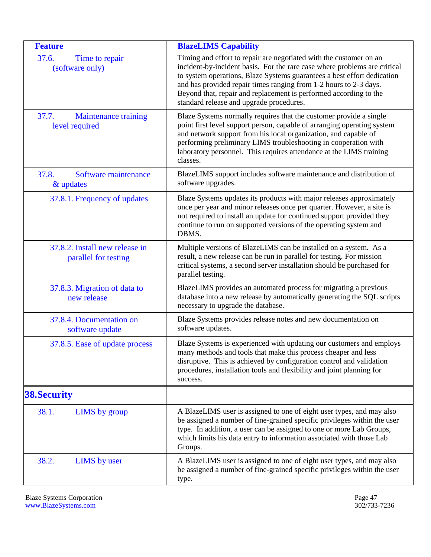<span id="page-46-5"></span><span id="page-46-4"></span><span id="page-46-3"></span><span id="page-46-2"></span><span id="page-46-1"></span><span id="page-46-0"></span>

| <b>Feature</b>                                         | <b>BlazeLIMS Capability</b>                                                                                                                                                                                                                                                                                                                                                                                      |
|--------------------------------------------------------|------------------------------------------------------------------------------------------------------------------------------------------------------------------------------------------------------------------------------------------------------------------------------------------------------------------------------------------------------------------------------------------------------------------|
| 37.6.<br>Time to repair<br>(software only)             | Timing and effort to repair are negotiated with the customer on an<br>incident-by-incident basis. For the rare case where problems are critical<br>to system operations, Blaze Systems guarantees a best effort dedication<br>and has provided repair times ranging from 1-2 hours to 2-3 days.<br>Beyond that, repair and replacement is performed according to the<br>standard release and upgrade procedures. |
| 37.7.<br><b>Maintenance training</b><br>level required | Blaze Systems normally requires that the customer provide a single<br>point first level support person, capable of arranging operating system<br>and network support from his local organization, and capable of<br>performing preliminary LIMS troubleshooting in cooperation with<br>laboratory personnel. This requires attendance at the LIMS training<br>classes.                                           |
| Software maintenance<br>37.8.<br>& updates             | BlazeLIMS support includes software maintenance and distribution of<br>software upgrades.                                                                                                                                                                                                                                                                                                                        |
| 37.8.1. Frequency of updates                           | Blaze Systems updates its products with major releases approximately<br>once per year and minor releases once per quarter. However, a site is<br>not required to install an update for continued support provided they<br>continue to run on supported versions of the operating system and<br>DBMS.                                                                                                             |
| 37.8.2. Install new release in<br>parallel for testing | Multiple versions of BlazeLIMS can be installed on a system. As a<br>result, a new release can be run in parallel for testing. For mission<br>critical systems, a second server installation should be purchased for<br>parallel testing.                                                                                                                                                                        |
| 37.8.3. Migration of data to<br>new release            | BlazeLIMS provides an automated process for migrating a previous<br>database into a new release by automatically generating the SQL scripts<br>necessary to upgrade the database.                                                                                                                                                                                                                                |
| 37.8.4. Documentation on<br>software update            | Blaze Systems provides release notes and new documentation on<br>software updates.                                                                                                                                                                                                                                                                                                                               |
| 37.8.5. Ease of update process                         | Blaze Systems is experienced with updating our customers and employs<br>many methods and tools that make this process cheaper and less<br>disruptive. This is achieved by configuration control and validation<br>procedures, installation tools and flexibility and joint planning for<br>success.                                                                                                              |
| <b>38. Security</b>                                    |                                                                                                                                                                                                                                                                                                                                                                                                                  |
| 38.1.<br><b>LIMS</b> by group                          | A BlazeLIMS user is assigned to one of eight user types, and may also<br>be assigned a number of fine-grained specific privileges within the user<br>type. In addition, a user can be assigned to one or more Lab Groups,<br>which limits his data entry to information associated with those Lab<br>Groups.                                                                                                     |
| 38.2.<br><b>LIMS</b> by user                           | A BlazeLIMS user is assigned to one of eight user types, and may also<br>be assigned a number of fine-grained specific privileges within the user<br>type.                                                                                                                                                                                                                                                       |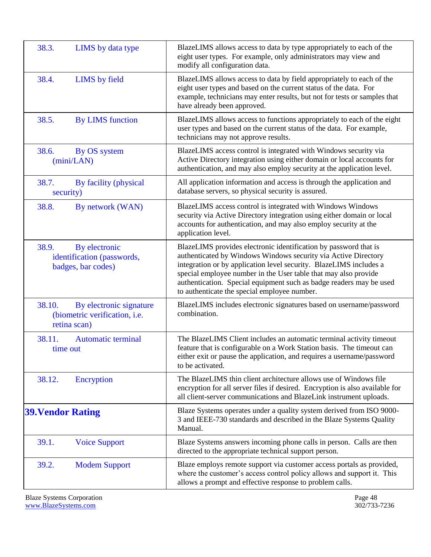<span id="page-47-12"></span><span id="page-47-11"></span><span id="page-47-10"></span><span id="page-47-9"></span><span id="page-47-8"></span><span id="page-47-7"></span><span id="page-47-6"></span><span id="page-47-5"></span><span id="page-47-4"></span><span id="page-47-3"></span><span id="page-47-2"></span><span id="page-47-1"></span><span id="page-47-0"></span>

| 38.3.<br>LIMS by data type                                                         | BlazeLIMS allows access to data by type appropriately to each of the<br>eight user types. For example, only administrators may view and<br>modify all configuration data.                                                                                                                                                                                                                          |
|------------------------------------------------------------------------------------|----------------------------------------------------------------------------------------------------------------------------------------------------------------------------------------------------------------------------------------------------------------------------------------------------------------------------------------------------------------------------------------------------|
| 38.4.<br>LIMS by field                                                             | BlazeLIMS allows access to data by field appropriately to each of the<br>eight user types and based on the current status of the data. For<br>example, technicians may enter results, but not for tests or samples that<br>have already been approved.                                                                                                                                             |
| 38.5.<br><b>By LIMS</b> function                                                   | BlazeLIMS allows access to functions appropriately to each of the eight<br>user types and based on the current status of the data. For example,<br>technicians may not approve results.                                                                                                                                                                                                            |
| 38.6.<br>By OS system<br>(min/LAN)                                                 | BlazeLIMS access control is integrated with Windows security via<br>Active Directory integration using either domain or local accounts for<br>authentication, and may also employ security at the application level.                                                                                                                                                                               |
| 38.7.<br>By facility (physical<br>security)                                        | All application information and access is through the application and<br>database servers, so physical security is assured.                                                                                                                                                                                                                                                                        |
| 38.8.<br>By network (WAN)                                                          | BlazeLIMS access control is integrated with Windows Windows<br>security via Active Directory integration using either domain or local<br>accounts for authentication, and may also employ security at the<br>application level.                                                                                                                                                                    |
| 38.9.<br>By electronic<br>identification (passwords,<br>badges, bar codes)         | BlazeLIMS provides electronic identification by password that is<br>authenticated by Windows Windows security via Active Directory<br>integration or by application level security. BlazeLIMS includes a<br>special employee number in the User table that may also provide<br>authentication. Special equipment such as badge readers may be used<br>to authenticate the special employee number. |
| 38.10.<br>By electronic signature<br>(biometric verification, i.e.<br>retina scan) | BlazeLIMS includes electronic signatures based on username/password<br>combination.                                                                                                                                                                                                                                                                                                                |
| 38.11.<br><b>Automatic terminal</b><br>time out                                    | The BlazeLIMS Client includes an automatic terminal activity timeout<br>feature that is configurable on a Work Station basis. The timeout can<br>either exit or pause the application, and requires a username/password<br>to be activated.                                                                                                                                                        |
| 38.12.<br>Encryption                                                               | The BlazeLIMS thin client architecture allows use of Windows file<br>encryption for all server files if desired. Encryption is also available for<br>all client-server communications and BlazeLink instrument uploads.                                                                                                                                                                            |
| <b>39. Vendor Rating</b>                                                           | Blaze Systems operates under a quality system derived from ISO 9000-<br>3 and IEEE-730 standards and described in the Blaze Systems Quality<br>Manual.                                                                                                                                                                                                                                             |
| 39.1.<br><b>Voice Support</b>                                                      | Blaze Systems answers incoming phone calls in person. Calls are then<br>directed to the appropriate technical support person.                                                                                                                                                                                                                                                                      |
| 39.2.<br><b>Modem Support</b>                                                      | Blaze employs remote support via customer access portals as provided,<br>where the customer's access control policy allows and support it. This<br>allows a prompt and effective response to problem calls.                                                                                                                                                                                        |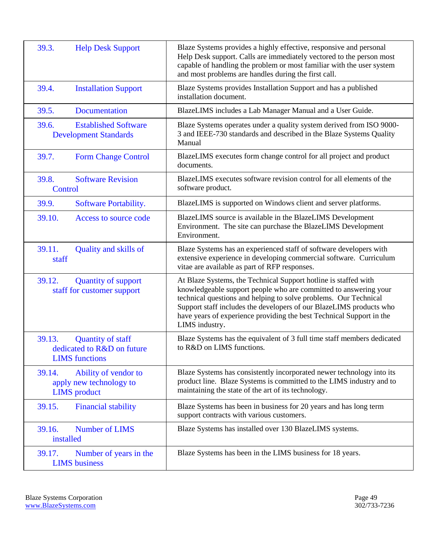<span id="page-48-14"></span><span id="page-48-13"></span><span id="page-48-12"></span><span id="page-48-11"></span><span id="page-48-10"></span><span id="page-48-9"></span><span id="page-48-8"></span><span id="page-48-7"></span><span id="page-48-6"></span><span id="page-48-5"></span><span id="page-48-4"></span><span id="page-48-3"></span><span id="page-48-2"></span><span id="page-48-1"></span><span id="page-48-0"></span>

| 39.3.<br><b>Help Desk Support</b>                                                         | Blaze Systems provides a highly effective, responsive and personal<br>Help Desk support. Calls are immediately vectored to the person most<br>capable of handling the problem or most familiar with the user system<br>and most problems are handles during the first call.                                                                                              |
|-------------------------------------------------------------------------------------------|--------------------------------------------------------------------------------------------------------------------------------------------------------------------------------------------------------------------------------------------------------------------------------------------------------------------------------------------------------------------------|
| 39.4.<br><b>Installation Support</b>                                                      | Blaze Systems provides Installation Support and has a published<br>installation document.                                                                                                                                                                                                                                                                                |
| 39.5.<br>Documentation                                                                    | BlazeLIMS includes a Lab Manager Manual and a User Guide.                                                                                                                                                                                                                                                                                                                |
| 39.6.<br><b>Established Software</b><br><b>Development Standards</b>                      | Blaze Systems operates under a quality system derived from ISO 9000-<br>3 and IEEE-730 standards and described in the Blaze Systems Quality<br>Manual                                                                                                                                                                                                                    |
| 39.7.<br><b>Form Change Control</b>                                                       | BlazeLIMS executes form change control for all project and product<br>documents.                                                                                                                                                                                                                                                                                         |
| 39.8.<br><b>Software Revision</b><br>Control                                              | BlazeLIMS executes software revision control for all elements of the<br>software product.                                                                                                                                                                                                                                                                                |
| 39.9.<br>Software Portability.                                                            | BlazeLIMS is supported on Windows client and server platforms.                                                                                                                                                                                                                                                                                                           |
| 39.10.<br>Access to source code                                                           | BlazeLIMS source is available in the BlazeLIMS Development<br>Environment. The site can purchase the BlazeLIMS Development<br>Environment.                                                                                                                                                                                                                               |
| 39.11.<br>Quality and skills of<br>staff                                                  | Blaze Systems has an experienced staff of software developers with<br>extensive experience in developing commercial software. Curriculum<br>vitae are available as part of RFP responses.                                                                                                                                                                                |
| 39.12.<br><b>Quantity of support</b><br>staff for customer support                        | At Blaze Systems, the Technical Support hotline is staffed with<br>knowledgeable support people who are committed to answering your<br>technical questions and helping to solve problems. Our Technical<br>Support staff includes the developers of our BlazeLIMS products who<br>have years of experience providing the best Technical Support in the<br>LIMS industry. |
| 39.13.<br><b>Quantity of staff</b><br>dedicated to R&D on future<br><b>LIMS</b> functions | Blaze Systems has the equivalent of 3 full time staff members dedicated<br>to R&D on LIMS functions.                                                                                                                                                                                                                                                                     |
| Ability of vendor to<br>39.14.<br>apply new technology to<br><b>LIMS</b> product          | Blaze Systems has consistently incorporated newer technology into its<br>product line. Blaze Systems is committed to the LIMS industry and to<br>maintaining the state of the art of its technology.                                                                                                                                                                     |
| <b>Financial stability</b><br>39.15.                                                      | Blaze Systems has been in business for 20 years and has long term<br>support contracts with various customers.                                                                                                                                                                                                                                                           |
| Number of LIMS<br>39.16.<br>installed                                                     | Blaze Systems has installed over 130 BlazeLIMS systems.                                                                                                                                                                                                                                                                                                                  |
| 39.17.<br>Number of years in the<br><b>LIMS</b> business                                  | Blaze Systems has been in the LIMS business for 18 years.                                                                                                                                                                                                                                                                                                                |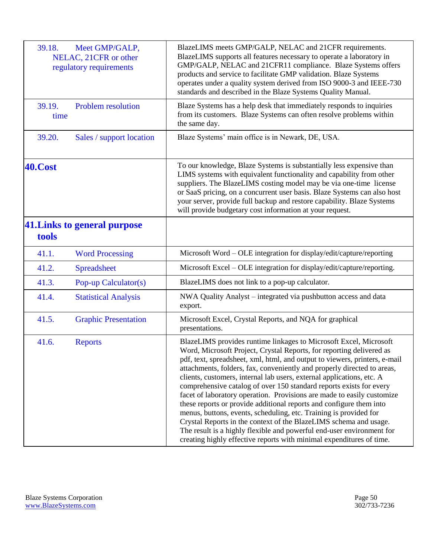<span id="page-49-10"></span><span id="page-49-9"></span><span id="page-49-8"></span><span id="page-49-7"></span><span id="page-49-6"></span><span id="page-49-5"></span><span id="page-49-4"></span><span id="page-49-3"></span><span id="page-49-2"></span><span id="page-49-1"></span><span id="page-49-0"></span>

| 39.18.         | Meet GMP/GALP,<br>NELAC, 21CFR or other<br>regulatory requirements | BlazeLIMS meets GMP/GALP, NELAC and 21CFR requirements.<br>BlazeLIMS supports all features necessary to operate a laboratory in<br>GMP/GALP, NELAC and 21CFR11 compliance. Blaze Systems offers<br>products and service to facilitate GMP validation. Blaze Systems<br>operates under a quality system derived from ISO 9000-3 and IEEE-730<br>standards and described in the Blaze Systems Quality Manual.                                                                                                                                                                                                                                                                                                                                                                                                                                                                                    |
|----------------|--------------------------------------------------------------------|------------------------------------------------------------------------------------------------------------------------------------------------------------------------------------------------------------------------------------------------------------------------------------------------------------------------------------------------------------------------------------------------------------------------------------------------------------------------------------------------------------------------------------------------------------------------------------------------------------------------------------------------------------------------------------------------------------------------------------------------------------------------------------------------------------------------------------------------------------------------------------------------|
| 39.19.<br>time | <b>Problem resolution</b>                                          | Blaze Systems has a help desk that immediately responds to inquiries<br>from its customers. Blaze Systems can often resolve problems within<br>the same day.                                                                                                                                                                                                                                                                                                                                                                                                                                                                                                                                                                                                                                                                                                                                   |
| 39.20.         | Sales / support location                                           | Blaze Systems' main office is in Newark, DE, USA.                                                                                                                                                                                                                                                                                                                                                                                                                                                                                                                                                                                                                                                                                                                                                                                                                                              |
| <b>40.Cost</b> |                                                                    | To our knowledge, Blaze Systems is substantially less expensive than<br>LIMS systems with equivalent functionality and capability from other<br>suppliers. The BlazeLIMS costing model may be via one-time license<br>or SaaS pricing, on a concurrent user basis. Blaze Systems can also host<br>your server, provide full backup and restore capability. Blaze Systems<br>will provide budgetary cost information at your request.                                                                                                                                                                                                                                                                                                                                                                                                                                                           |
| tools          | 41. Links to general purpose                                       |                                                                                                                                                                                                                                                                                                                                                                                                                                                                                                                                                                                                                                                                                                                                                                                                                                                                                                |
| 41.1.          | <b>Word Processing</b>                                             | Microsoft Word – OLE integration for display/edit/capture/reporting                                                                                                                                                                                                                                                                                                                                                                                                                                                                                                                                                                                                                                                                                                                                                                                                                            |
| 41.2.          | <b>Spreadsheet</b>                                                 | Microsoft Excel - OLE integration for display/edit/capture/reporting.                                                                                                                                                                                                                                                                                                                                                                                                                                                                                                                                                                                                                                                                                                                                                                                                                          |
| 41.3.          | Pop-up Calculator(s)                                               | BlazeLIMS does not link to a pop-up calculator.                                                                                                                                                                                                                                                                                                                                                                                                                                                                                                                                                                                                                                                                                                                                                                                                                                                |
| 41.4.          | <b>Statistical Analysis</b>                                        | NWA Quality Analyst – integrated via pushbutton access and data<br>export.                                                                                                                                                                                                                                                                                                                                                                                                                                                                                                                                                                                                                                                                                                                                                                                                                     |
| 41.5.          | <b>Graphic Presentation</b>                                        | Microsoft Excel, Crystal Reports, and NQA for graphical<br>presentations.                                                                                                                                                                                                                                                                                                                                                                                                                                                                                                                                                                                                                                                                                                                                                                                                                      |
| 41.6.          | <b>Reports</b>                                                     | BlazeLIMS provides runtime linkages to Microsoft Excel, Microsoft<br>Word, Microsoft Project, Crystal Reports, for reporting delivered as<br>pdf, text, spreadsheet, xml, html, and output to viewers, printers, e-mail<br>attachments, folders, fax, conveniently and properly directed to areas,<br>clients, customers, internal lab users, external applications, etc. A<br>comprehensive catalog of over 150 standard reports exists for every<br>facet of laboratory operation. Provisions are made to easily customize<br>these reports or provide additional reports and configure them into<br>menus, buttons, events, scheduling, etc. Training is provided for<br>Crystal Reports in the context of the BlazeLIMS schema and usage.<br>The result is a highly flexible and powerful end-user environment for<br>creating highly effective reports with minimal expenditures of time. |